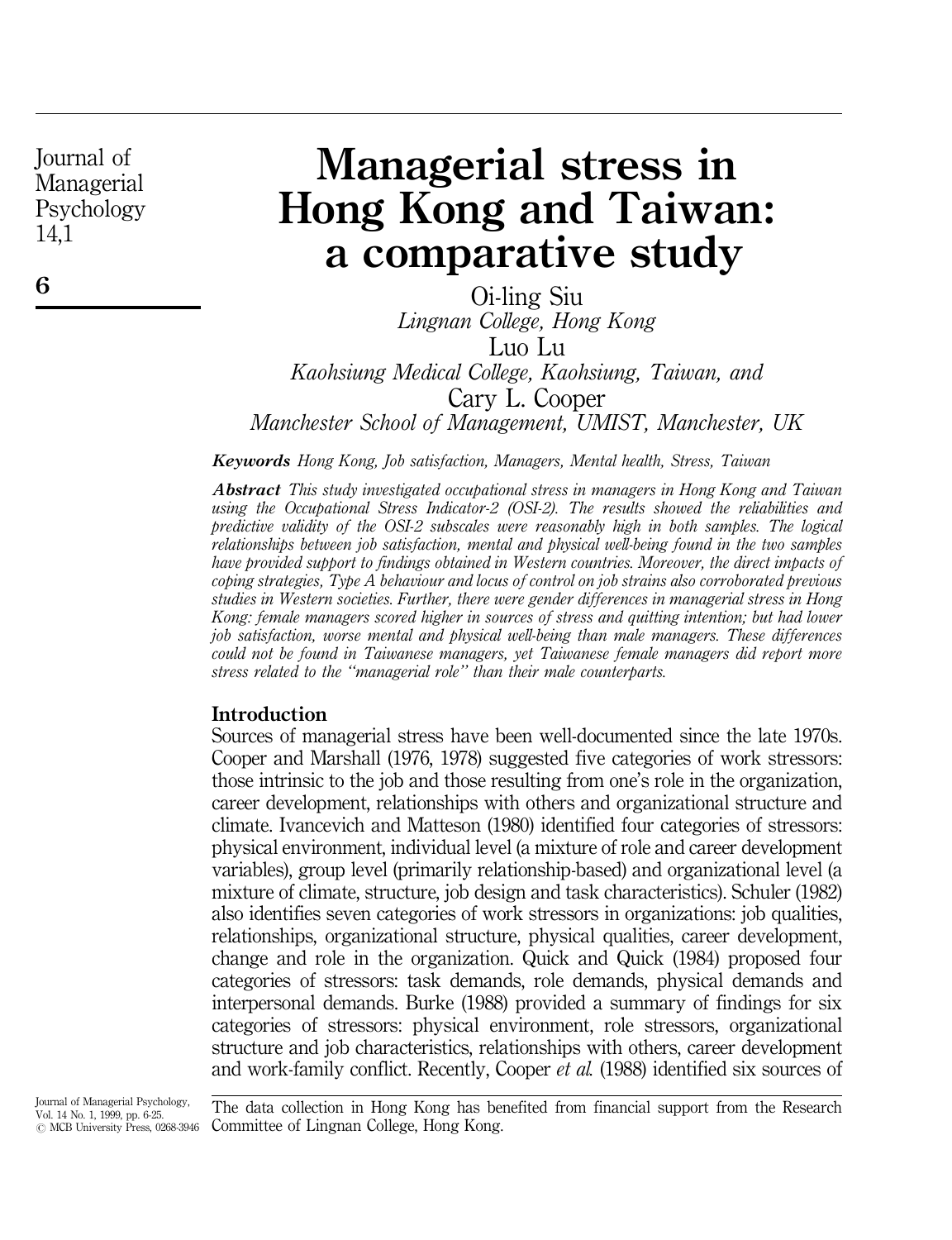6

# Managerial stress in Hong Kong and Taiwan: a comparative study

Oi-ling Siu Lingnan College, Hong Kong Luo Lu Kaohsiung Medical College, Kaohsiung, Taiwan, and Cary L. Cooper Manchester School of Management, UMIST, Manchester, UK

Keywords Hong Kong, Job satisfaction, Managers, Mental health, Stress, Taiwan

Abstract This study investigated occupational stress in managers in Hong Kong and Taiwan using the Occupational Stress Indicator-2 (OSI-2). The results showed the reliabilities and predictive validity of the OSI-2 subscales were reasonably high in both samples. The logical relationships between job satisfaction, mental and physical well-being found in the two samples have provided support to findings obtained in Western countries. Moreover, the direct impacts of coping strategies, Type A behaviour and locus of control on job strains also corroborated previous studies in Western societies. Further, there were gender differences in managerial stress in Hong Kong: female managers scored higher in sources of stress and quitting intention; but had lower job satisfaction, worse mental and physical well-being than male managers. These differences could not be found in Taiwanese managers, yet Taiwanese female managers did report more stress related to the "managerial role" than their male counterparts.

#### Introduction

Sources of managerial stress have been well-documented since the late 1970s. Cooper and Marshall (1976, 1978) suggested five categories of work stressors: those intrinsic to the job and those resulting from one's role in the organization, career development, relationships with others and organizational structure and climate. Ivancevich and Matteson (1980) identified four categories of stressors: physical environment, individual level (a mixture of role and career development variables), group level (primarily relationship-based) and organizational level (a mixture of climate, structure, job design and task characteristics). Schuler (1982) also identifies seven categories of work stressors in organizations: job qualities, relationships, organizational structure, physical qualities, career development, change and role in the organization. Quick and Quick (1984) proposed four categories of stressors: task demands, role demands, physical demands and interpersonal demands. Burke (1988) provided a summary of findings for six categories of stressors: physical environment, role stressors, organizational structure and job characteristics, relationships with others, career development and work-family conflict. Recently, Cooper et al. (1988) identified six sources of

The data collection in Hong Kong has benefited from financial support from the Research Committee of Lingnan College, Hong Kong.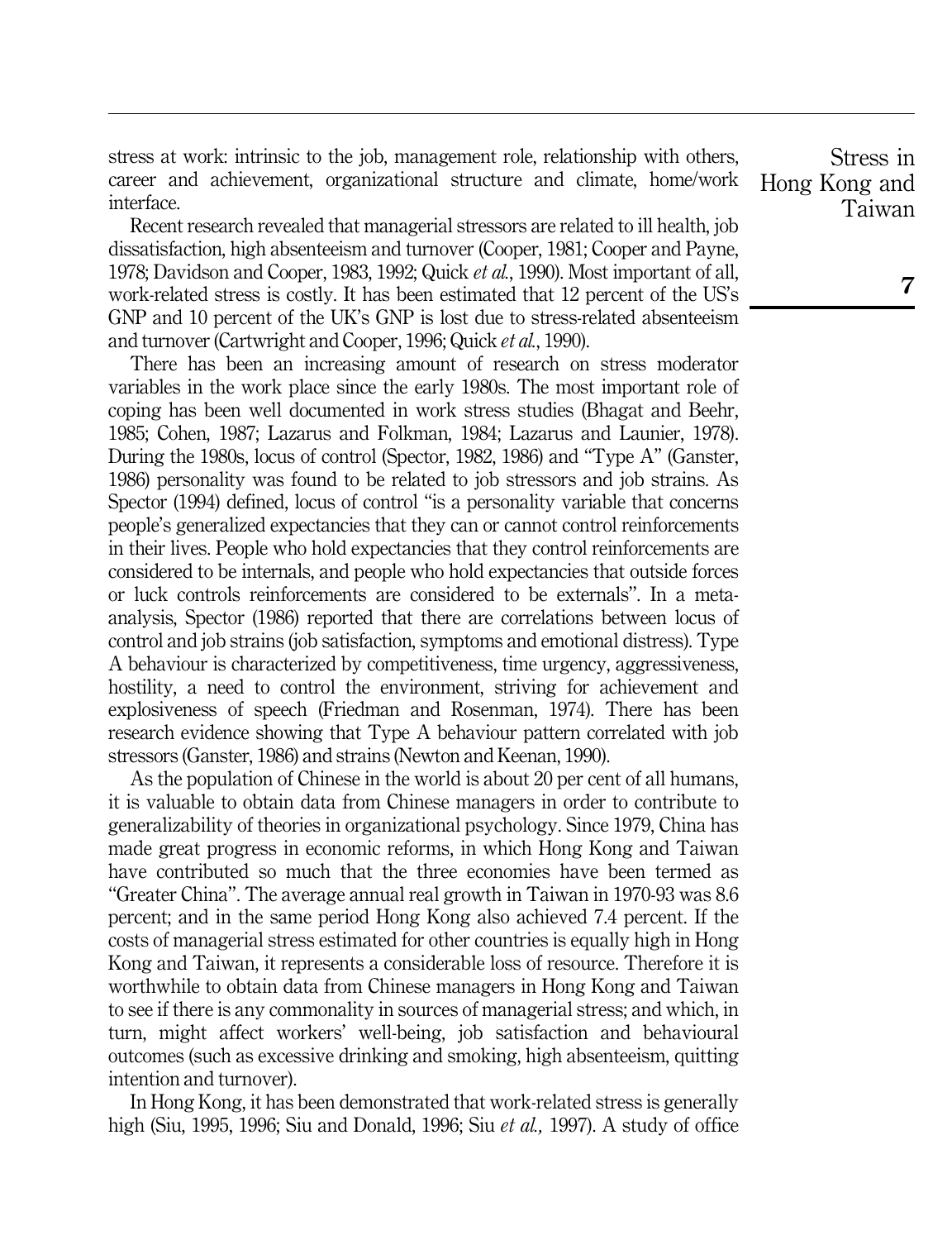stress at work: intrinsic to the job, management role, relationship with others, career and achievement, organizational structure and climate, home/work interface.

Recent research revealed that managerial stressors are related to ill health, job dissatisfaction, high absenteeism and turnover (Cooper, 1981; Cooper and Payne, 1978; Davidson and Cooper, 1983, 1992; Quick et al., 1990). Most important of all, work-related stress is costly. It has been estimated that 12 percent of the US's GNP and 10 percent of the UK's GNP is lost due to stress-related absenteeism and turnover (Cartwright and Cooper, 1996; Quick et al., 1990).

There has been an increasing amount of research on stress moderator variables in the work place since the early 1980s. The most important role of coping has been well documented in work stress studies (Bhagat and Beehr, 1985; Cohen, 1987; Lazarus and Folkman, 1984; Lazarus and Launier, 1978). During the 1980s, locus of control (Spector, 1982, 1986) and "Type A" (Ganster, 1986) personality was found to be related to job stressors and job strains. As Spector (1994) defined, locus of control "is a personality variable that concerns people's generalized expectancies that they can or cannot control reinforcements in their lives. People who hold expectancies that they control reinforcements are considered to be internals, and people who hold expectancies that outside forces or luck controls reinforcements are considered to be externals''. In a metaanalysis, Spector (1986) reported that there are correlations between locus of control and job strains (job satisfaction, symptoms and emotional distress). Type A behaviour is characterized by competitiveness, time urgency, aggressiveness, hostility, a need to control the environment, striving for achievement and explosiveness of speech (Friedman and Rosenman, 1974). There has been research evidence showing that Type A behaviour pattern correlated with job stressors (Ganster, 1986) and strains (Newton and Keenan, 1990).

As the population of Chinese in the world is about 20 per cent of all humans, it is valuable to obtain data from Chinese managers in order to contribute to generalizability of theories in organizational psychology. Since 1979, China has made great progress in economic reforms, in which Hong Kong and Taiwan have contributed so much that the three economies have been termed as ``Greater China''. The average annual real growth in Taiwan in 1970-93 was 8.6 percent; and in the same period Hong Kong also achieved 7.4 percent. If the costs of managerial stress estimated for other countries is equally high in Hong Kong and Taiwan, it represents a considerable loss of resource. Therefore it is worthwhile to obtain data from Chinese managers in Hong Kong and Taiwan to see if there is any commonality in sources of managerial stress; and which, in turn, might affect workers' well-being, job satisfaction and behavioural outcomes (such as excessive drinking and smoking, high absenteeism, quitting intention and turnover).

In Hong Kong, it has been demonstrated that work-related stress is generally high (Siu, 1995, 1996; Siu and Donald, 1996; Siu et al., 1997). A study of office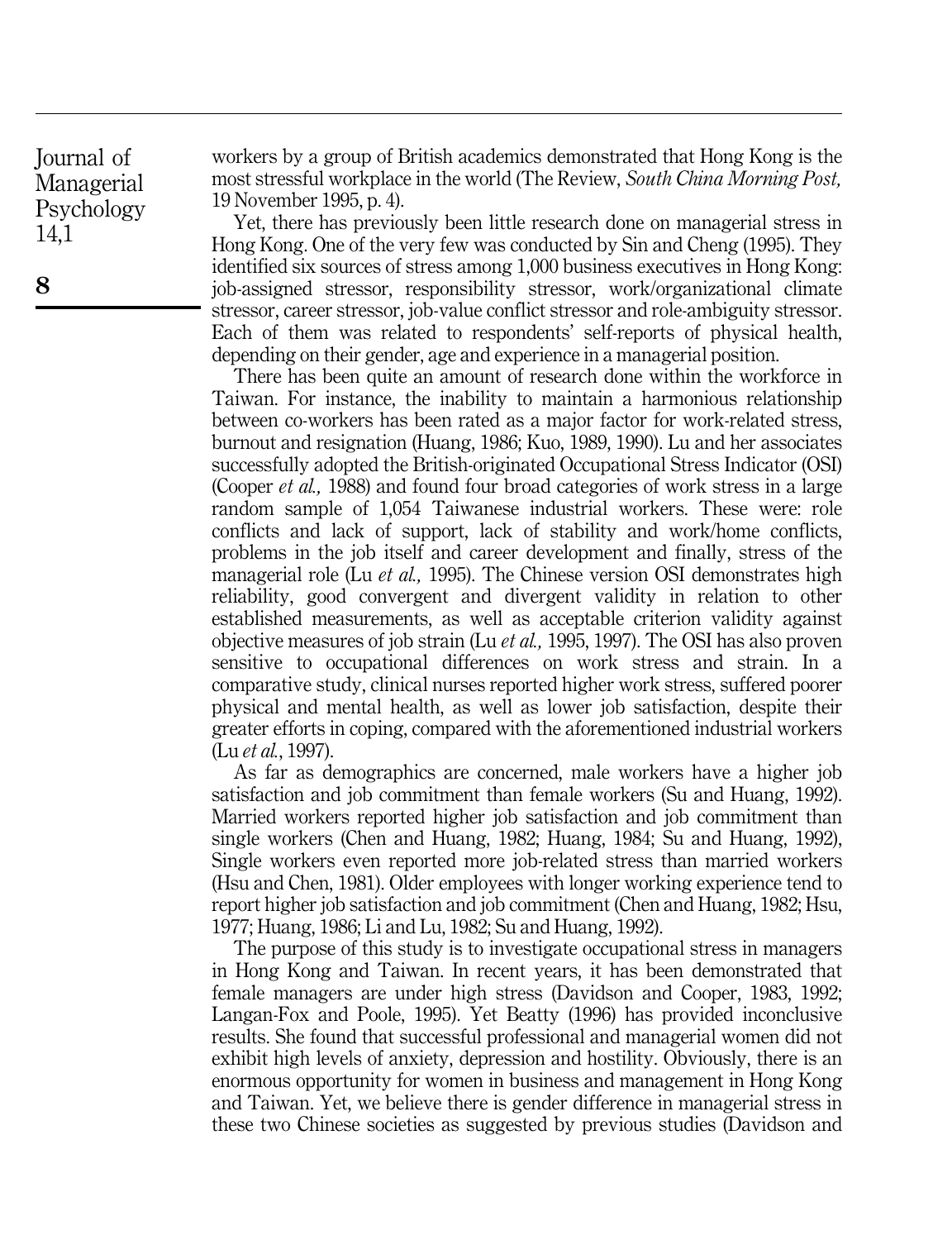workers by a group of British academics demonstrated that Hong Kong is the most stressful workplace in the world (The Review, South China Morning Post, 19 November 1995, p. 4).

Yet, there has previously been little research done on managerial stress in Hong Kong. One of the very few was conducted by Sin and Cheng (1995). They identified six sources of stress among 1,000 business executives in Hong Kong: job-assigned stressor, responsibility stressor, work/organizational climate stressor, career stressor, job-value conflict stressor and role-ambiguity stressor. Each of them was related to respondents' self-reports of physical health, depending on their gender, age and experience in a managerial position.

There has been quite an amount of research done within the workforce in Taiwan. For instance, the inability to maintain a harmonious relationship between co-workers has been rated as a major factor for work-related stress, burnout and resignation (Huang, 1986; Kuo, 1989, 1990). Lu and her associates successfully adopted the British-originated Occupational Stress Indicator (OSI) (Cooper et al., 1988) and found four broad categories of work stress in a large random sample of 1,054 Taiwanese industrial workers. These were: role conflicts and lack of support, lack of stability and work/home conflicts, problems in the job itself and career development and finally, stress of the managerial role (Lu *et al.*, 1995). The Chinese version OSI demonstrates high reliability, good convergent and divergent validity in relation to other established measurements, as well as acceptable criterion validity against objective measures of job strain (Lu *et al.*, 1995, 1997). The OSI has also proven sensitive to occupational differences on work stress and strain. In a comparative study, clinical nurses reported higher work stress, suffered poorer physical and mental health, as well as lower job satisfaction, despite their greater efforts in coping, compared with the aforementioned industrial workers (Lu et al., 1997).

As far as demographics are concerned, male workers have a higher job satisfaction and job commitment than female workers (Su and Huang, 1992). Married workers reported higher job satisfaction and job commitment than single workers (Chen and Huang, 1982; Huang, 1984; Su and Huang, 1992), Single workers even reported more job-related stress than married workers (Hsu and Chen, 1981). Older employees with longer working experience tend to report higher job satisfaction and job commitment (Chen and Huang, 1982; Hsu, 1977; Huang, 1986; Li and Lu, 1982; Su and Huang, 1992).

The purpose of this study is to investigate occupational stress in managers in Hong Kong and Taiwan. In recent years, it has been demonstrated that female managers are under high stress (Davidson and Cooper, 1983, 1992; Langan-Fox and Poole, 1995). Yet Beatty (1996) has provided inconclusive results. She found that successful professional and managerial women did not exhibit high levels of anxiety, depression and hostility. Obviously, there is an enormous opportunity for women in business and management in Hong Kong and Taiwan. Yet, we believe there is gender difference in managerial stress in these two Chinese societies as suggested by previous studies (Davidson and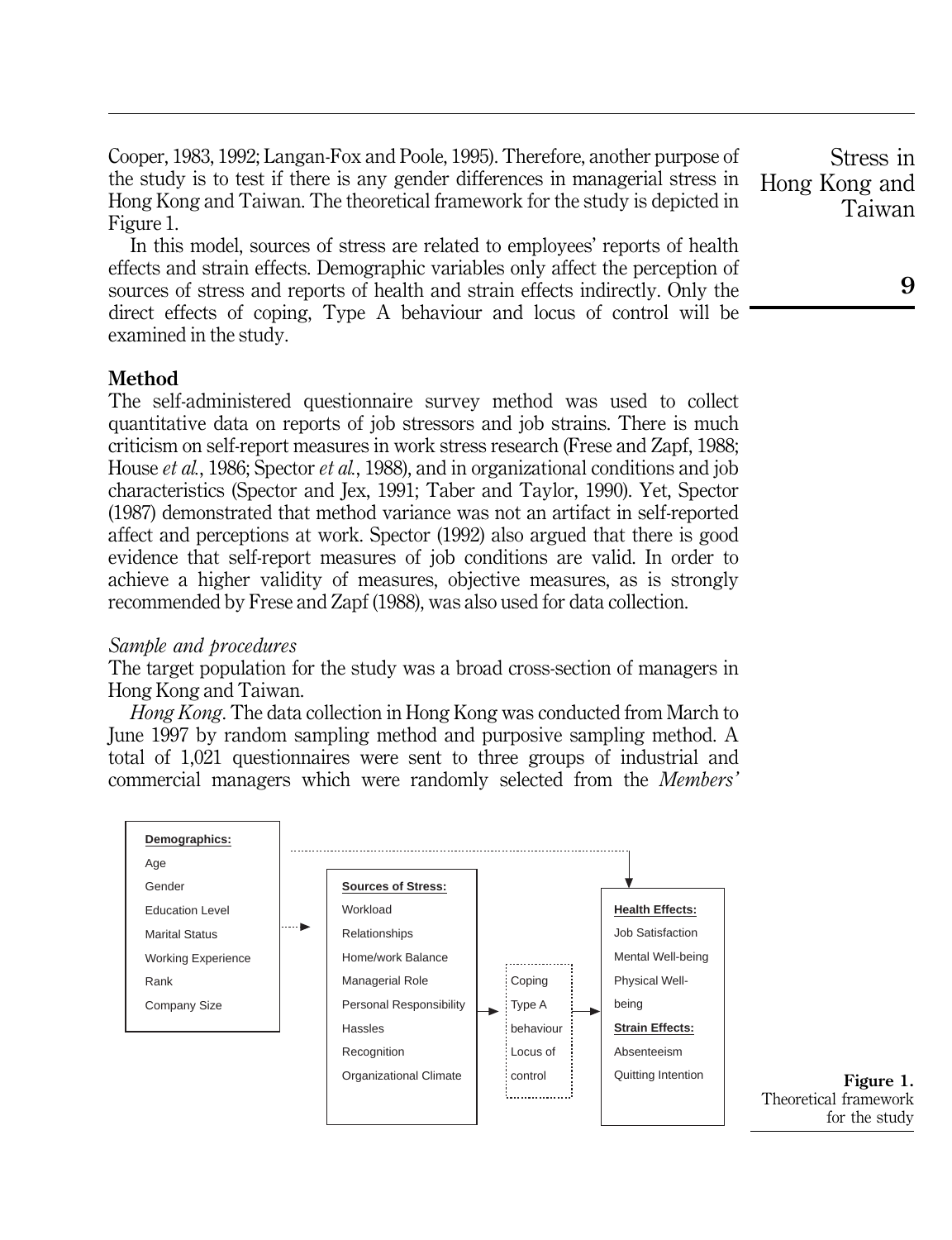Cooper, 1983, 1992; Langan-Fox and Poole, 1995). Therefore, another purpose of the study is to test if there is any gender differences in managerial stress in Hong Kong and Taiwan. The theoretical framework for the study is depicted in Figure 1.

In this model, sources of stress are related to employees' reports of health effects and strain effects. Demographic variables only affect the perception of sources of stress and reports of health and strain effects indirectly. Only the direct effects of coping, Type A behaviour and locus of control will be examined in the study.

#### Method

The self-administered questionnaire survey method was used to collect quantitative data on reports of job stressors and job strains. There is much criticism on self-report measures in work stress research (Frese and Zapf, 1988; House *et al.*, 1986; Spector *et al.*, 1988), and in organizational conditions and job characteristics (Spector and Jex, 1991; Taber and Taylor, 1990). Yet, Spector (1987) demonstrated that method variance was not an artifact in self-reported affect and perceptions at work. Spector (1992) also argued that there is good evidence that self-report measures of job conditions are valid. In order to achieve a higher validity of measures, objective measures, as is strongly recommended by Frese and Zapf (1988), was also used for data collection.

#### Sample and procedures

The target population for the study was a broad cross-section of managers in Hong Kong and Taiwan.

Hong Kong. The data collection in Hong Kong was conducted from March to June 1997 by random sampling method and purposive sampling method. A total of 1,021 questionnaires were sent to three groups of industrial and commercial managers which were randomly selected from the Members'



9

Stress in Hong Kong and Taiwan

Theoretical framework for the study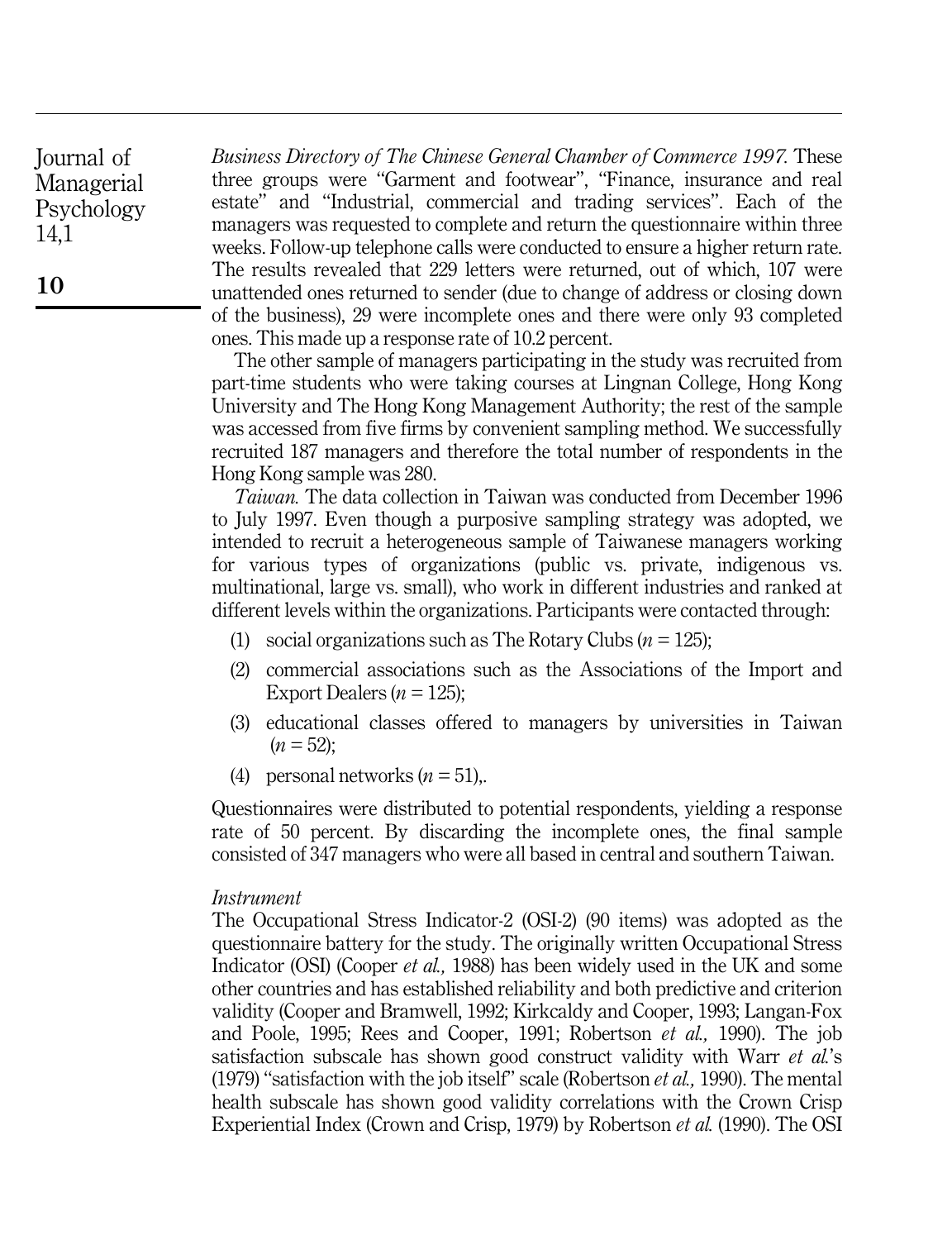Business Directory of The Chinese General Chamber of Commerce 1997. These three groups were "Garment and footwear", "Finance, insurance and real estate" and "Industrial, commercial and trading services". Each of the managers was requested to complete and return the questionnaire within three weeks. Follow-up telephone calls were conducted to ensure a higher return rate. The results revealed that 229 letters were returned, out of which, 107 were unattended ones returned to sender (due to change of address or closing down of the business), 29 were incomplete ones and there were only 93 completed ones. This made up a response rate of 10.2 percent.

The other sample of managers participating in the study was recruited from part-time students who were taking courses at Lingnan College, Hong Kong University and The Hong Kong Management Authority; the rest of the sample was accessed from five firms by convenient sampling method. We successfully recruited 187 managers and therefore the total number of respondents in the Hong Kong sample was 280.

Taiwan. The data collection in Taiwan was conducted from December 1996 to July 1997. Even though a purposive sampling strategy was adopted, we intended to recruit a heterogeneous sample of Taiwanese managers working for various types of organizations (public vs. private, indigenous vs. multinational, large vs. small), who work in different industries and ranked at different levels within the organizations. Participants were contacted through:

- (1) social organizations such as The Rotary Clubs  $(n = 125)$ ;
- (2) commercial associations such as the Associations of the Import and Export Dealers ( $n = 125$ );
- (3) educational classes offered to managers by universities in Taiwan  $(n = 52);$
- (4) personal networks  $(n = 51)$ ,

Questionnaires were distributed to potential respondents, yielding a response rate of 50 percent. By discarding the incomplete ones, the final sample consisted of 347 managers who were all based in central and southern Taiwan.

#### Instrument

The Occupational Stress Indicator-2 (OSI-2) (90 items) was adopted as the questionnaire battery for the study. The originally written Occupational Stress Indicator (OSI) (Cooper *et al.*, 1988) has been widely used in the UK and some other countries and has established reliability and both predictive and criterion validity (Cooper and Bramwell, 1992; Kirkcaldy and Cooper, 1993; Langan-Fox and Poole, 1995; Rees and Cooper, 1991; Robertson et al., 1990). The job satisfaction subscale has shown good construct validity with Warr et al.'s (1979) "satisfaction with the job itself" scale (Robertson  $et$  al., 1990). The mental health subscale has shown good validity correlations with the Crown Crisp Experiential Index (Crown and Crisp, 1979) by Robertson et al. (1990). The OSI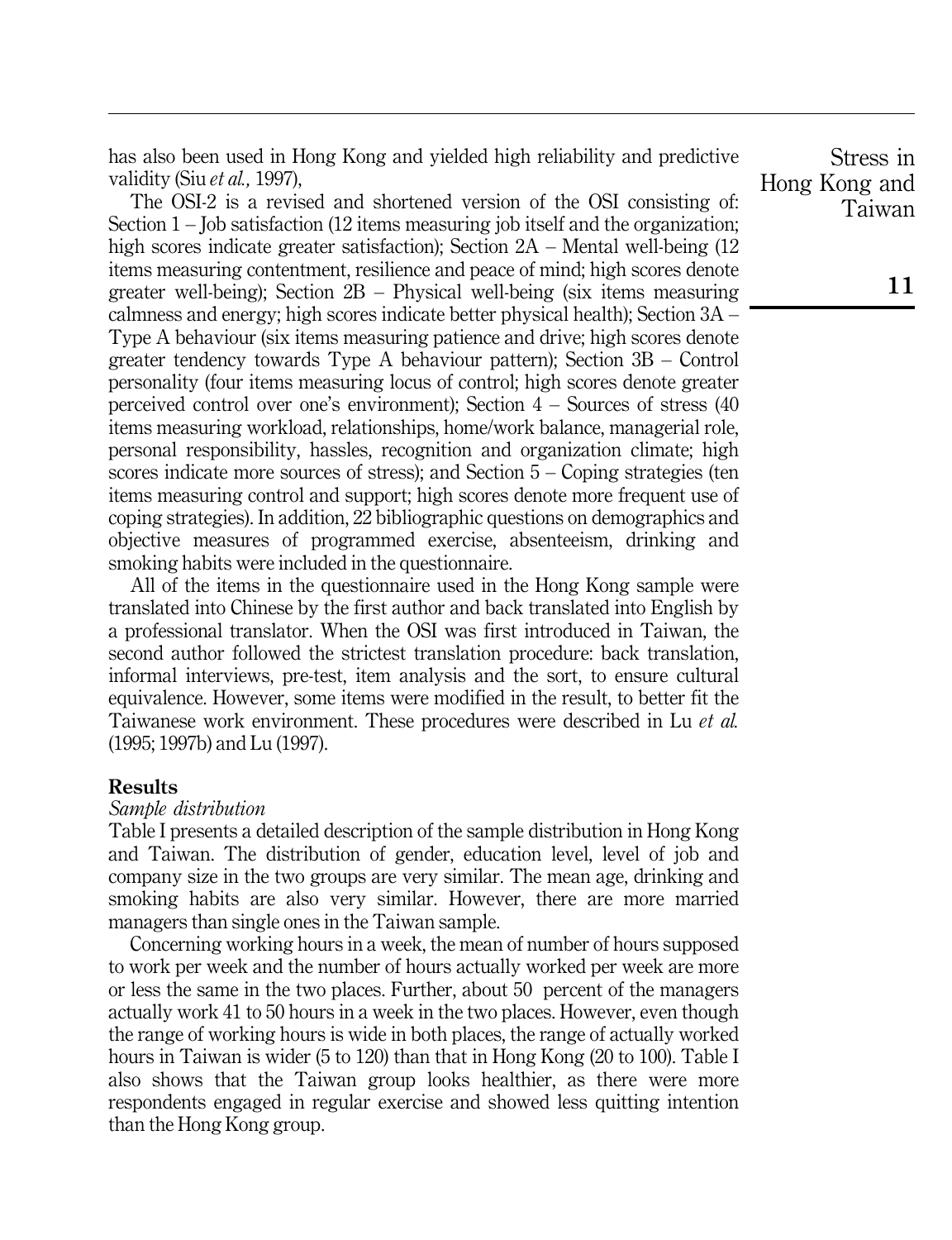has also been used in Hong Kong and yielded high reliability and predictive validity (Siu et al., 1997),

The OSI-2 is a revised and shortened version of the OSI consisting of: Section  $1 -$  Job satisfaction (12 items measuring job itself and the organization; high scores indicate greater satisfaction); Section  $2A - M$ ental well-being (12) items measuring contentment, resilience and peace of mind; high scores denote greater well-being); Section  $2B -$  Physical well-being (six items measuring calmness and energy; high scores indicate better physical health); Section  $3A -$ Type A behaviour (six items measuring patience and drive; high scores denote greater tendency towards Type A behaviour pattern); Section  $3B -$ Control personality (four items measuring locus of control; high scores denote greater perceived control over one's environment); Section  $4 -$  Sources of stress (40) items measuring workload, relationships, home/work balance, managerial role, personal responsibility, hassles, recognition and organization climate; high scores indicate more sources of stress); and Section  $5 -$ Coping strategies (ten items measuring control and support; high scores denote more frequent use of coping strategies). In addition, 22 bibliographic questions on demographics and objective measures of programmed exercise, absenteeism, drinking and smoking habits were included in the questionnaire.

All of the items in the questionnaire used in the Hong Kong sample were translated into Chinese by the first author and back translated into English by a professional translator. When the OSI was first introduced in Taiwan, the second author followed the strictest translation procedure: back translation, informal interviews, pre-test, item analysis and the sort, to ensure cultural equivalence. However, some items were modified in the result, to better fit the Taiwanese work environment. These procedures were described in Lu et al. (1995; 1997b) and Lu (1997).

#### Results

### Sample distribution

Table I presents a detailed description of the sample distribution in Hong Kong and Taiwan. The distribution of gender, education level, level of job and company size in the two groups are very similar. The mean age, drinking and smoking habits are also very similar. However, there are more married managers than single ones in the Taiwan sample.

Concerning working hours in a week, the mean of number of hours supposed to work per week and the number of hours actually worked per week are more or less the same in the two places. Further, about 50 percent of the managers actually work 41 to 50 hours in a week in the two places. However, even though the range of working hours is wide in both places, the range of actually worked hours in Taiwan is wider (5 to 120) than that in Hong Kong (20 to 100). Table I also shows that the Taiwan group looks healthier, as there were more respondents engaged in regular exercise and showed less quitting intention than the Hong Kong group.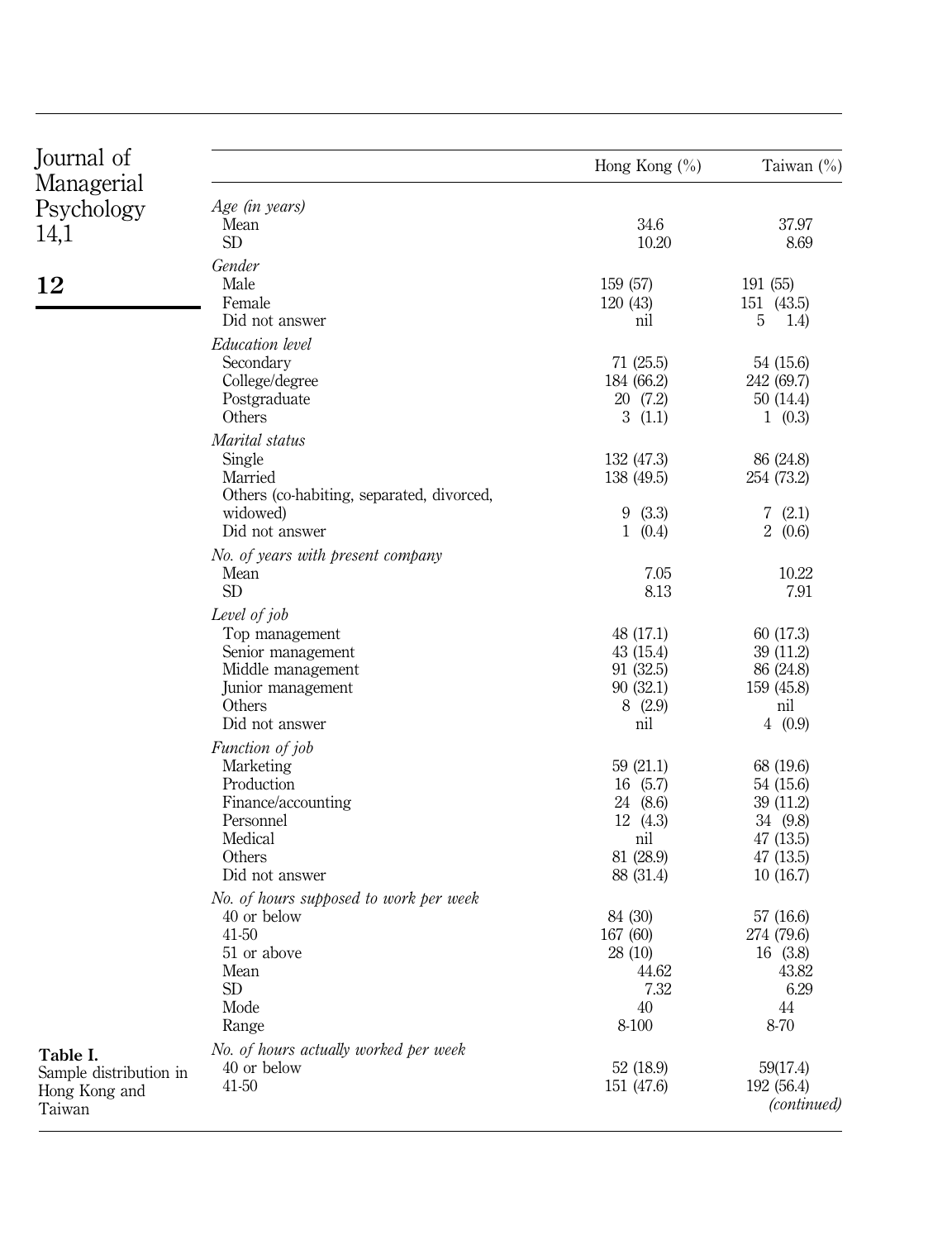| Journal of             |                                           | Hong Kong $(\% )$        | Taiwan (%)              |
|------------------------|-------------------------------------------|--------------------------|-------------------------|
| Managerial             |                                           |                          |                         |
| Psychology             | Age (in years)                            |                          |                         |
| 14,1                   | Mean<br><b>SD</b>                         | 34.6<br>10.20            | 37.97<br>8.69           |
|                        |                                           |                          |                         |
|                        | Gender                                    |                          |                         |
| 12                     | Male<br>Female                            | 159 (57)<br>120 (43)     | 191 (55)<br>151 (43.5)  |
|                        | Did not answer                            | nil                      | 5<br>1.4)               |
|                        |                                           |                          |                         |
|                        | Education level                           |                          |                         |
|                        | Secondary<br>College/degree               | 71(25.5)<br>184 (66.2)   | 54 (15.6)<br>242 (69.7) |
|                        | Postgraduate                              | 20 (7.2)                 | 50 (14.4)               |
|                        | Others                                    | 3(1.1)                   | 1(0.3)                  |
|                        | Marital status                            |                          |                         |
|                        | Single                                    |                          |                         |
|                        | Married                                   | 132 (47.3)<br>138 (49.5) | 86 (24.8)<br>254 (73.2) |
|                        | Others (co-habiting, separated, divorced, |                          |                         |
|                        | widowed)                                  | 9(3.3)                   | 7(2.1)                  |
|                        | Did not answer                            | 1(0.4)                   | 2(0.6)                  |
|                        | No. of years with present company         |                          |                         |
|                        | Mean                                      | 7.05                     | 10.22                   |
|                        | <b>SD</b>                                 | 8.13                     | 7.91                    |
|                        | Level of job                              |                          |                         |
|                        | Top management                            | 48 (17.1)                | 60(17.3)                |
|                        | Senior management                         | 43(15.4)                 | 39 (11.2)               |
|                        | Middle management                         | 91(32.5)                 | 86 (24.8)               |
|                        | Junior management                         | 90(32.1)                 | 159 (45.8)              |
|                        | Others                                    | 8(2.9)                   | nil                     |
|                        | Did not answer                            | nil                      | 4(0.9)                  |
|                        | Function of job                           |                          |                         |
|                        | Marketing                                 | 59(21.1)                 | 68 (19.6)               |
|                        | Production                                | 16(5.7)                  | 54 (15.6)               |
|                        | Finance/accounting                        | 24 (8.6)                 | 39(11.2)                |
|                        | Personnel                                 | 12(4.3)                  | 34 (9.8)                |
|                        | Medical                                   | nil                      | 47(13.5)                |
|                        | Others                                    | 81 (28.9)                | 47(13.5)                |
|                        | Did not answer                            | 88 (31.4)                | 10(16.7)                |
|                        | No. of hours supposed to work per week    |                          |                         |
|                        | 40 or below                               | 84 (30)                  | 57 (16.6)               |
|                        | 41-50                                     | 167 (60)                 | 274 (79.6)              |
|                        | 51 or above                               | 28 (10)                  | 16(3.8)                 |
|                        | Mean                                      | 44.62                    | 43.82                   |
|                        | <b>SD</b>                                 | 7.32                     | 6.29                    |
|                        | Mode                                      | 40                       | 44                      |
|                        | Range                                     | 8-100                    | 8-70                    |
| Table I.               | No. of hours actually worked per week     |                          |                         |
| Sample distribution in | 40 or below                               | 52 (18.9)                | 59(17.4)                |
| Hong Kong and          | 41-50                                     | 151 (47.6)               | 192 (56.4)              |
| Taiwan                 |                                           |                          | <i>(continued)</i>      |
|                        |                                           |                          |                         |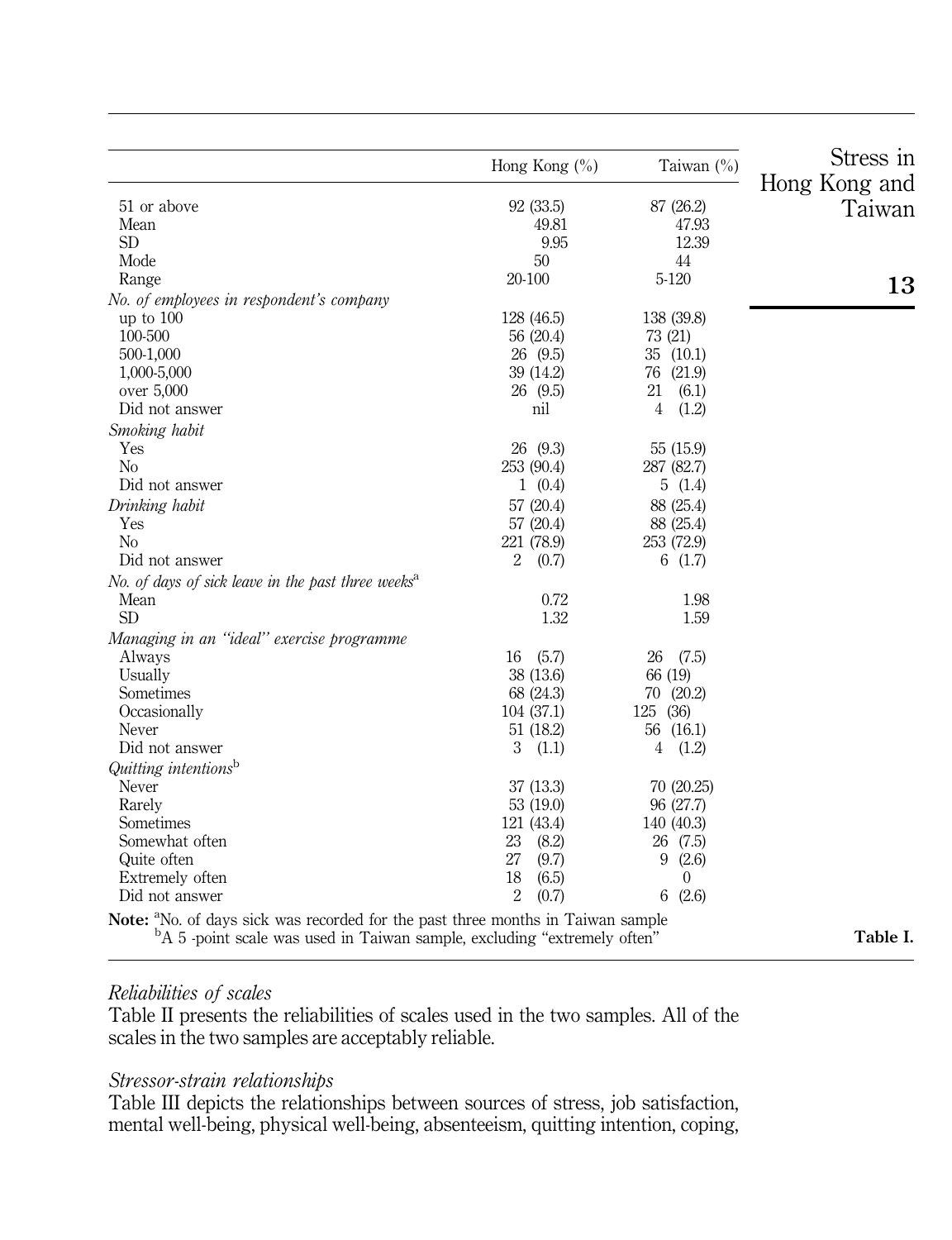|                                                                                                                                                                                     | Hong Kong $(\% )$       | Taiwan $(\%)$           | Stress in<br>Hong Kong and |
|-------------------------------------------------------------------------------------------------------------------------------------------------------------------------------------|-------------------------|-------------------------|----------------------------|
| 51 or above                                                                                                                                                                         | 92(33.5)                | 87 (26.2)               | Taiwan                     |
| Mean                                                                                                                                                                                | 49.81                   | 47.93                   |                            |
| <b>SD</b>                                                                                                                                                                           | 9.95                    | 12.39                   |                            |
| Mode                                                                                                                                                                                | 50                      | 44                      |                            |
| Range                                                                                                                                                                               | 20-100                  | 5-120                   | 13                         |
| No. of employees in respondent's company                                                                                                                                            |                         |                         |                            |
| up to $100$                                                                                                                                                                         | 128 (46.5)              | 138 (39.8)              |                            |
| 100-500                                                                                                                                                                             | 56 (20.4)               | 73 (21)                 |                            |
| 500-1,000                                                                                                                                                                           | 26(9.5)                 | 35(10.1)                |                            |
| 1,000-5,000                                                                                                                                                                         | 39 (14.2)               | 76 (21.9)               |                            |
| over 5,000                                                                                                                                                                          | 26(9.5)                 | 21<br>(6.1)             |                            |
| Did not answer                                                                                                                                                                      | nil                     | $\overline{4}$<br>(1.2) |                            |
| Smoking habit                                                                                                                                                                       |                         |                         |                            |
| Yes                                                                                                                                                                                 | 26 (9.3)                | 55 (15.9)               |                            |
| N <sub>o</sub>                                                                                                                                                                      | 253 (90.4)              | 287 (82.7)              |                            |
| Did not answer                                                                                                                                                                      | 1(0.4)                  | 5(1.4)                  |                            |
| Drinking habit                                                                                                                                                                      | 57(20.4)                | 88 (25.4)               |                            |
| Yes                                                                                                                                                                                 |                         |                         |                            |
| N <sub>o</sub>                                                                                                                                                                      | 57(20.4)<br>221 (78.9)  | 88 (25.4)<br>253 (72.9) |                            |
| Did not answer                                                                                                                                                                      | $\overline{2}$<br>(0.7) | 6(1.7)                  |                            |
|                                                                                                                                                                                     |                         |                         |                            |
| No. of days of sick leave in the past three weeks <sup>a</sup>                                                                                                                      |                         |                         |                            |
| Mean                                                                                                                                                                                | 0.72                    | 1.98                    |                            |
| <b>SD</b>                                                                                                                                                                           | 1.32                    | 1.59                    |                            |
| Managing in an "ideal" exercise programme                                                                                                                                           |                         |                         |                            |
| Always                                                                                                                                                                              | 16<br>(5.7)             | 26<br>(7.5)             |                            |
| Usually                                                                                                                                                                             | 38 (13.6)               | 66 (19)                 |                            |
| Sometimes                                                                                                                                                                           | 68 (24.3)               | 70 (20.2)               |                            |
| Occasionally                                                                                                                                                                        | 104 (37.1)              | 125 (36)                |                            |
| Never                                                                                                                                                                               | 51(18.2)                | 56 (16.1)               |                            |
| Did not answer                                                                                                                                                                      | 3<br>(1.1)              | 4(1.2)                  |                            |
| Quitting intentions <sup>b</sup>                                                                                                                                                    |                         |                         |                            |
| Never                                                                                                                                                                               | 37(13.3)                | 70 (20.25)              |                            |
| Rarely                                                                                                                                                                              | 53 (19.0)               | 96 (27.7)               |                            |
| Sometimes                                                                                                                                                                           | 121 (43.4)              | 140 (40.3)              |                            |
| Somewhat often                                                                                                                                                                      | 23<br>(8.2)             | 26 (7.5)                |                            |
| Quite often                                                                                                                                                                         | 27<br>(9.7)             | 9(2.6)                  |                            |
| Extremely often                                                                                                                                                                     | 18<br>(6.5)             | $\Omega$                |                            |
| Did not answer                                                                                                                                                                      | $\overline{2}$<br>(0.7) | (2.6)<br>6              |                            |
| Note: <sup>a</sup> No. of days sick was recorded for the past three months in Taiwan sample<br><sup>b</sup> A 5 -point scale was used in Taiwan sample, excluding "extremely often" |                         |                         | Table I.                   |

# Reliabilities of scales

Table II presents the reliabilities of scales used in the two samples. All of the scales in the two samples are acceptably reliable.

# Stressor-strain relationships

Table III depicts the relationships between sources of stress, job satisfaction, mental well-being, physical well-being, absenteeism, quitting intention, coping,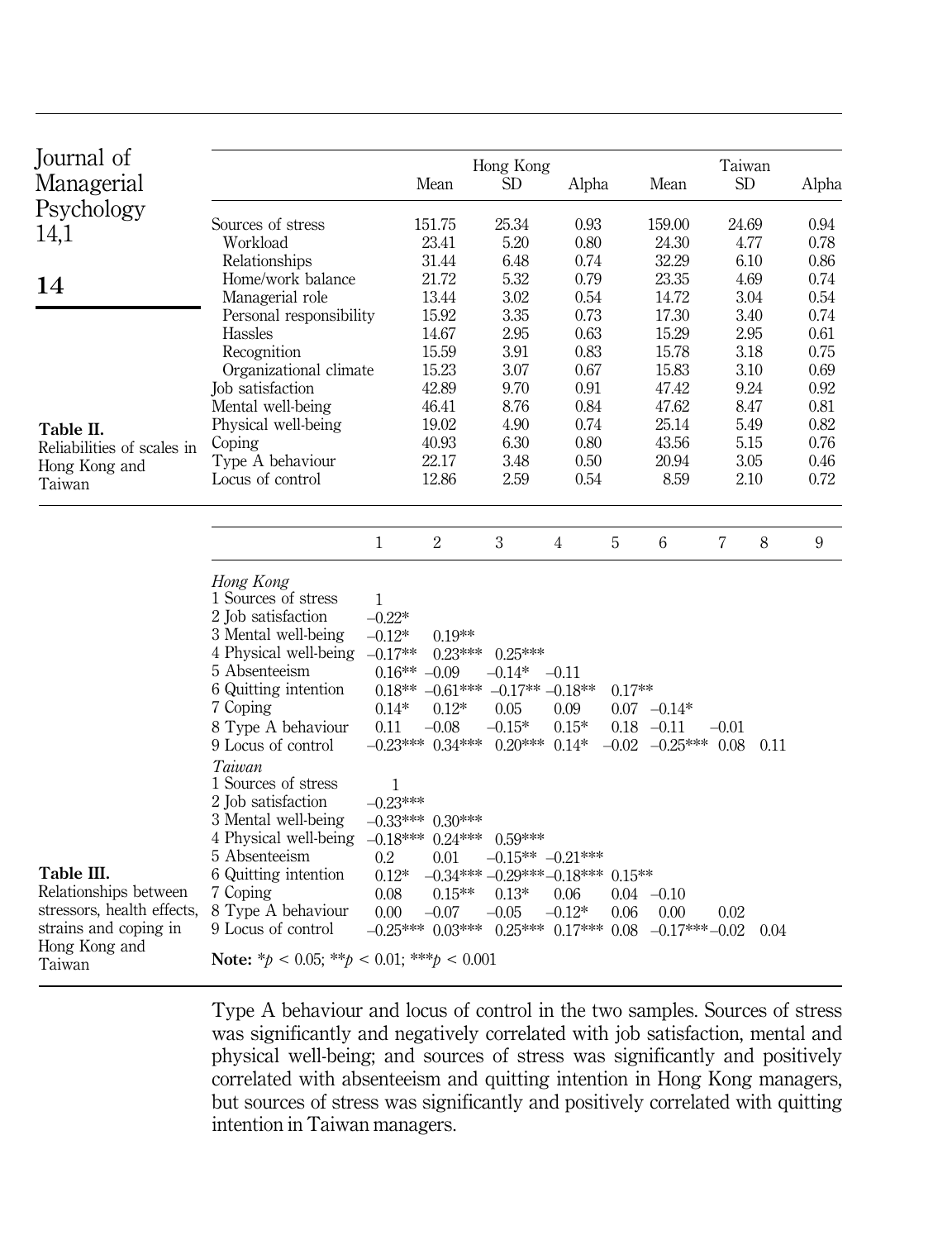| Journal of                 |                                                      |                |                                         | Hong Kong                                 |                       |          |                         | Taiwan              |              |
|----------------------------|------------------------------------------------------|----------------|-----------------------------------------|-------------------------------------------|-----------------------|----------|-------------------------|---------------------|--------------|
| Managerial                 |                                                      |                | Mean                                    | <b>SD</b>                                 | Alpha                 |          | Mean                    | <b>SD</b>           | Alpha        |
| Psychology                 |                                                      |                |                                         |                                           |                       |          |                         |                     |              |
| 14,1                       | Sources of stress                                    |                | 151.75                                  | 25.34                                     | 0.93                  |          | 159.00                  | 24.69               | 0.94         |
|                            | Workload                                             |                | 23.41                                   | 5.20                                      | 0.80                  |          | 24.30                   | 4.77                | 0.78         |
|                            | Relationships                                        |                | 31.44                                   | 6.48                                      | 0.74                  |          | 32.29                   | 6.10                | 0.86         |
| 14                         | Home/work balance                                    |                | 21.72                                   | 5.32                                      | 0.79                  |          | 23.35                   | 4.69                | 0.74         |
|                            | Managerial role                                      |                | 13.44<br>15.92                          | 3.02<br>3.35                              | 0.54<br>0.73          |          | 14.72<br>17.30          | 3.04                | 0.54         |
|                            | Personal responsibility<br><b>Hassles</b>            |                | 14.67                                   | 2.95                                      | 0.63                  |          | 15.29                   | 3.40<br>2.95        | 0.74<br>0.61 |
|                            |                                                      |                | 15.59                                   | 3.91                                      | 0.83                  |          | 15.78                   | 3.18                | 0.75         |
|                            | Recognition<br>Organizational climate                |                | 15.23                                   | 3.07                                      | 0.67                  |          | 15.83                   | 3.10                | 0.69         |
|                            | Job satisfaction                                     |                | 42.89                                   | 9.70                                      | 0.91                  |          | 47.42                   | 9.24                | 0.92         |
|                            | Mental well-being                                    |                | 46.41                                   | 8.76                                      | 0.84                  |          | 47.62                   | 8.47                | 0.81         |
|                            | Physical well-being                                  |                | 19.02                                   | 4.90                                      | 0.74                  |          | 25.14                   | 5.49                | 0.82         |
| Table II.                  | Coping                                               |                | 40.93                                   | 6.30                                      | 0.80                  |          | 43.56                   | 5.15                | 0.76         |
| Reliabilities of scales in | Type A behaviour                                     |                | 22.17                                   | 3.48                                      | 0.50                  |          | 20.94                   | 3.05                | 0.46         |
| Hong Kong and              | Locus of control                                     |                | 12.86                                   | 2.59                                      | 0.54                  |          | 8.59                    | 2.10                | 0.72         |
| Taiwan                     |                                                      |                |                                         |                                           |                       |          |                         |                     |              |
|                            |                                                      |                |                                         |                                           |                       |          |                         |                     |              |
|                            |                                                      |                |                                         |                                           |                       |          |                         |                     |              |
|                            |                                                      | $\mathbf{1}$   | $\overline{2}$                          | 3                                         | $\overline{4}$        | 5        | 6                       | $\overline{7}$<br>8 | 9            |
|                            |                                                      |                |                                         |                                           |                       |          |                         |                     |              |
|                            | Hong Kong<br>1 Sources of stress                     |                |                                         |                                           |                       |          |                         |                     |              |
|                            | 2 Job satisfaction                                   | 1<br>$-0.22*$  |                                         |                                           |                       |          |                         |                     |              |
|                            | 3 Mental well-being                                  | $-0.12*$       | $0.19**$                                |                                           |                       |          |                         |                     |              |
|                            | 4 Physical well-being -0.17**                        |                | $0.23***$                               | $0.25***$                                 |                       |          |                         |                     |              |
|                            | 5 Absenteeism                                        | $0.16** -0.09$ |                                         | $-0.14*$                                  | $-0.11$               |          |                         |                     |              |
|                            | 6 Quitting intention                                 |                | $0.18** -0.61*** -0.17** -0.18**$       |                                           |                       | $0.17**$ |                         |                     |              |
|                            | 7 Coping                                             | $0.14*$        | $0.12*$                                 | 0.05                                      | 0.09                  |          | $0.07 -0.14*$           |                     |              |
|                            | 8 Type A behaviour                                   | 0.11           | $-0.08$                                 | $-0.15*$                                  | $0.15*$               |          | $0.18 - 0.11$           | $-0.01$             |              |
|                            | 9 Locus of control                                   |                | $-0.23***$ 0.34***                      | $0.20***$ $0.14*$                         |                       |          | $-0.02$ $-0.25***$ 0.08 | 0.11                |              |
|                            | Taiwan                                               |                |                                         |                                           |                       |          |                         |                     |              |
|                            | 1 Sources of stress                                  | 1              |                                         |                                           |                       |          |                         |                     |              |
|                            | 2 Job satisfaction                                   | $-0.23***$     |                                         |                                           |                       |          |                         |                     |              |
|                            | 3 Mental well-being                                  |                | $-0.33***$ 0.30***                      |                                           |                       |          |                         |                     |              |
|                            | 4 Physical well-being                                |                | $-0.18***$ 0.24***                      | $0.59***$                                 |                       |          |                         |                     |              |
|                            | 5 Absenteeism                                        | 0.2            | 0.01                                    |                                           | $-0.15***$ $-0.21***$ |          |                         |                     |              |
| Table III.                 | 6 Quitting intention                                 | $0.12*$        |                                         | $-0.34***$ $-0.29***$ $-0.18***$ $0.15**$ |                       |          |                         |                     |              |
| Relationships between      | 7 Coping                                             | 0.08           | $0.15**$                                | $0.13*$                                   | 0.06                  |          | $0.04 -0.10$            |                     |              |
| stressors, health effects, | 8 Type A behaviour                                   | 0.00           | $-0.07$                                 | $-0.05$                                   | $-0.12*$              | 0.06     | 0.00                    | 0.02                |              |
| strains and coping in      | 9 Locus of control                                   |                | $-0.25***$ 0.03*** 0.25*** 0.17*** 0.08 |                                           |                       |          | $-0.17***-0.02$         | 0.04                |              |
| Hong Kong and<br>Taiwan    | Note: * $p < 0.05$ ; ** $p < 0.01$ ; *** $p < 0.001$ |                |                                         |                                           |                       |          |                         |                     |              |

Type A behaviour and locus of control in the two samples. Sources of stress was significantly and negatively correlated with job satisfaction, mental and physical well-being; and sources of stress was significantly and positively correlated with absenteeism and quitting intention in Hong Kong managers, but sources of stress was significantly and positively correlated with quitting intention in Taiwan managers.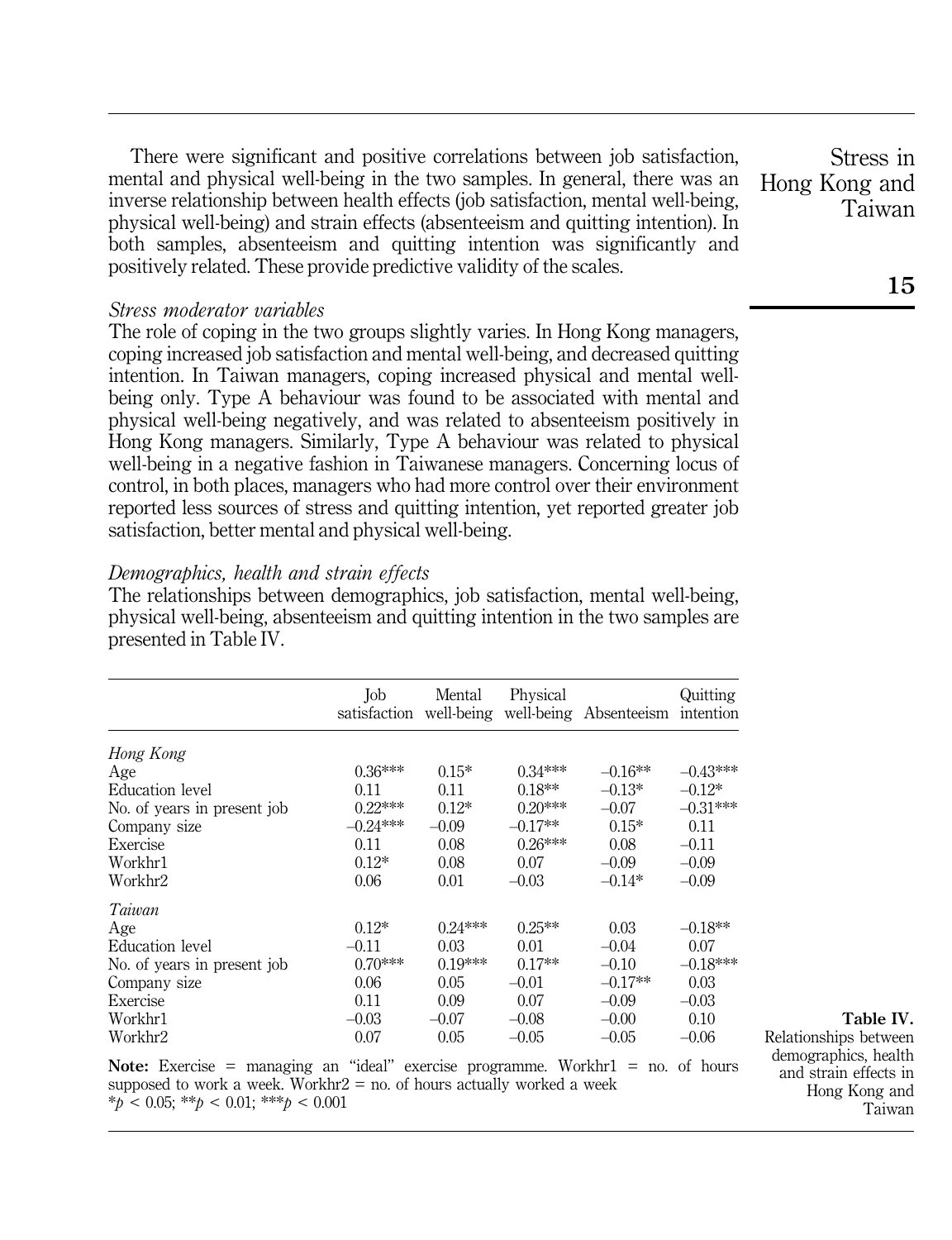There were significant and positive correlations between job satisfaction, mental and physical well-being in the two samples. In general, there was an inverse relationship between health effects (job satisfaction, mental well-being, physical well-being) and strain effects (absenteeism and quitting intention). In both samples, absenteeism and quitting intention was significantly and positively related. These provide predictive validity of the scales.

### Stress moderator variables

The role of coping in the two groups slightly varies. In Hong Kong managers, coping increased job satisfaction and mental well-being, and decreased quitting intention. In Taiwan managers, coping increased physical and mental wellbeing only. Type A behaviour was found to be associated with mental and physical well-being negatively, and was related to absenteeism positively in Hong Kong managers. Similarly, Type A behaviour was related to physical well-being in a negative fashion in Taiwanese managers. Concerning locus of control, in both places, managers who had more control over their environment reported less sources of stress and quitting intention, yet reported greater job satisfaction, better mental and physical well-being.

# Demographics, health and strain effects

The relationships between demographics, job satisfaction, mental well-being, physical well-being, absenteeism and quitting intention in the two samples are presented in Table IV.

|                             | Job<br>satisfaction | Mental<br>well-being | Physical  | well-being Absenteeism | Quitting<br>intention |
|-----------------------------|---------------------|----------------------|-----------|------------------------|-----------------------|
| Hong Kong                   |                     |                      |           |                        |                       |
| Age                         | $0.36***$           | $0.15*$              | $0.34***$ | $-0.16**$              | $-0.43***$            |
| Education level             | 0.11                | 0.11                 | $0.18**$  | $-0.13*$               | $-0.12*$              |
| No. of years in present job | $0.22***$           | $0.12*$              | $0.20***$ | $-0.07$                | $-0.31***$            |
| Company size                | $-0.24***$          | $-0.09$              | $-0.17**$ | $0.15*$                | 0.11                  |
| Exercise                    | 0.11                | 0.08                 | $0.26***$ | 0.08                   | $-0.11$               |
| Workhr1                     | $0.12*$             | 0.08                 | 0.07      | $-0.09$                | $-0.09$               |
| Workhr2                     | 0.06                | 0.01                 | $-0.03$   | $-0.14*$               | $-0.09$               |
| Taiwan                      |                     |                      |           |                        |                       |
| Age                         | $0.12*$             | $0.24***$            | $0.25**$  | 0.03                   | $-0.18**$             |
| Education level             | $-0.11$             | 0.03                 | 0.01      | $-0.04$                | 0.07                  |
| No. of years in present job | $0.70***$           | $0.19***$            | $0.17**$  | $-0.10$                | $-0.18***$            |
| Company size                | 0.06                | 0.05                 | $-0.01$   | $-0.17**$              | 0.03                  |
| Exercise                    | 0.11                | 0.09                 | 0.07      | $-0.09$                | $-0.03$               |
| Workhr1                     | $-0.03$             | $-0.07$              | $-0.08$   | $-0.00$                | 0.10                  |
| Workhr2                     | 0.07                | 0.05                 | $-0.05$   | $-0.05$                | $-0.06$               |

Note: Exercise = managing an "ideal" exercise programme. Workhr $1 = no$ . of hours supposed to work a week. Workhr2 = no. of hours actually worked a week  $*_{\text{D}} < 0.05$ ;  $*_{\text{D}} < 0.01$ ;  $*_{\text{D}} < 0.001$ 

Stress in Hong Kong and Taiwan

Table IV.

Relationships between demographics, health and strain effects in Hong Kong and Taiwan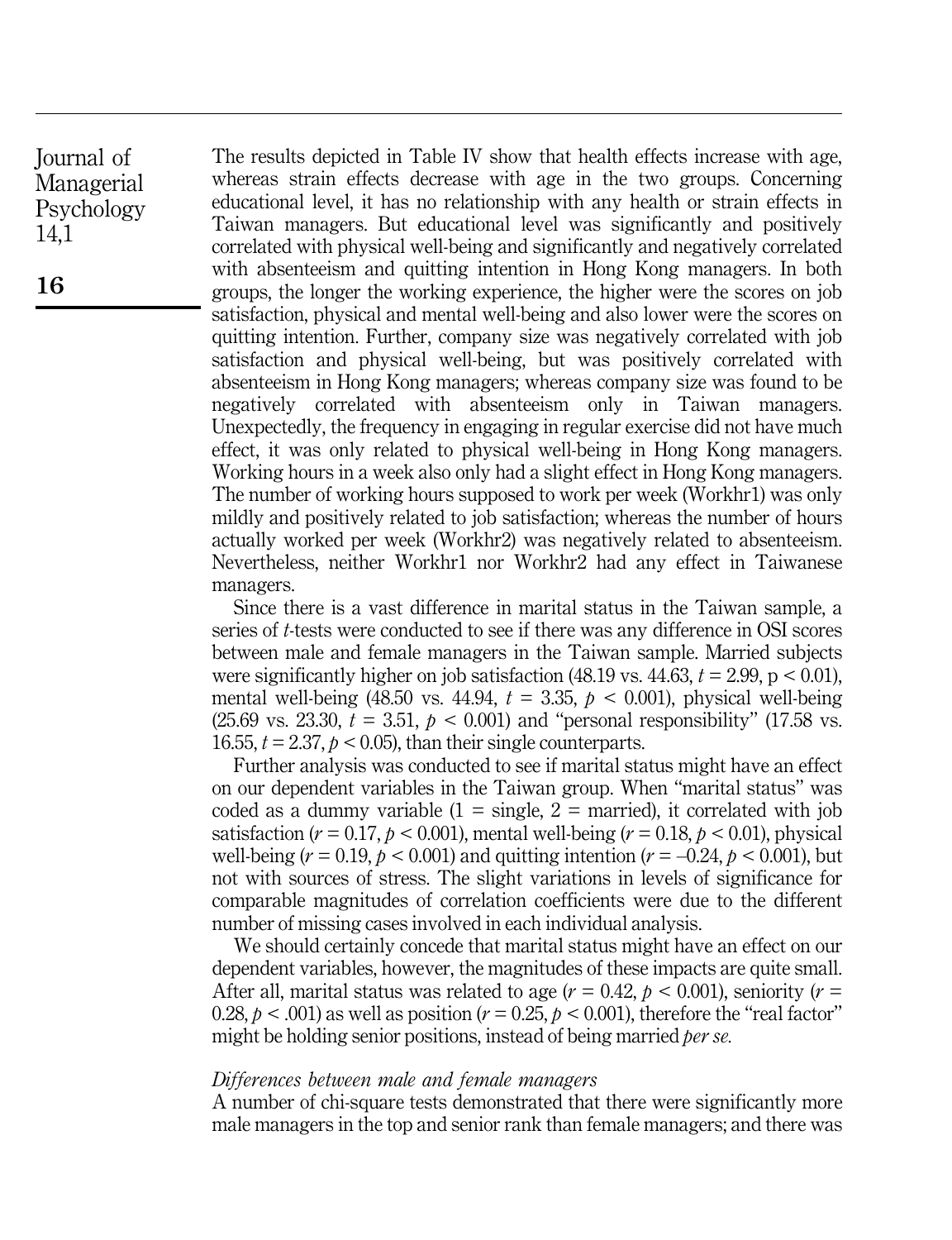The results depicted in Table IV show that health effects increase with age, whereas strain effects decrease with age in the two groups. Concerning educational level, it has no relationship with any health or strain effects in Taiwan managers. But educational level was significantly and positively correlated with physical well-being and significantly and negatively correlated with absenteeism and quitting intention in Hong Kong managers. In both groups, the longer the working experience, the higher were the scores on job satisfaction, physical and mental well-being and also lower were the scores on quitting intention. Further, company size was negatively correlated with job satisfaction and physical well-being, but was positively correlated with absenteeism in Hong Kong managers; whereas company size was found to be negatively correlated with absenteeism only in Taiwan managers. Unexpectedly, the frequency in engaging in regular exercise did not have much effect, it was only related to physical well-being in Hong Kong managers. Working hours in a week also only had a slight effect in Hong Kong managers. The number of working hours supposed to work per week (Workhr1) was only mildly and positively related to job satisfaction; whereas the number of hours actually worked per week (Workhr2) was negatively related to absenteeism. Nevertheless, neither Workhr1 nor Workhr2 had any effect in Taiwanese managers.

Since there is a vast difference in marital status in the Taiwan sample, a series of t-tests were conducted to see if there was any difference in OSI scores between male and female managers in the Taiwan sample. Married subjects were significantly higher on job satisfaction  $(48.19 \text{ vs. } 44.63, t = 2.99, p < 0.01)$ , mental well-being (48.50 vs. 44.94,  $t = 3.35$ ,  $p < 0.001$ ), physical well-being (25.69 vs. 23.30,  $t = 3.51$ ,  $p < 0.001$ ) and "personal responsibility" (17.58 vs. 16.55,  $t = 2.37$ ,  $p < 0.05$ ), than their single counterparts.

Further analysis was conducted to see if marital status might have an effect on our dependent variables in the Taiwan group. When "marital status" was coded as a dummy variable  $(1 = \text{single}, 2 = \text{married})$ , it correlated with job satisfaction ( $r = 0.17$ ,  $p < 0.001$ ), mental well-being ( $r = 0.18$ ,  $p < 0.01$ ), physical well-being ( $r = 0.19$ ,  $p < 0.001$ ) and quitting intention ( $r = -0.24$ ,  $p < 0.001$ ), but not with sources of stress. The slight variations in levels of significance for comparable magnitudes of correlation coefficients were due to the different number of missing cases involved in each individual analysis.

We should certainly concede that marital status might have an effect on our dependent variables, however, the magnitudes of these impacts are quite small. After all, marital status was related to age ( $r = 0.42$ ,  $p < 0.001$ ), seniority ( $r =$ 0.28,  $p < .001$ ) as well as position ( $r = 0.25$ ,  $p < .0001$ ), therefore the "real factor" might be holding senior positions, instead of being married *per se*.

#### Differences between male and female managers

A number of chi-square tests demonstrated that there were significantly more male managers in the top and senior rank than female managers; and there was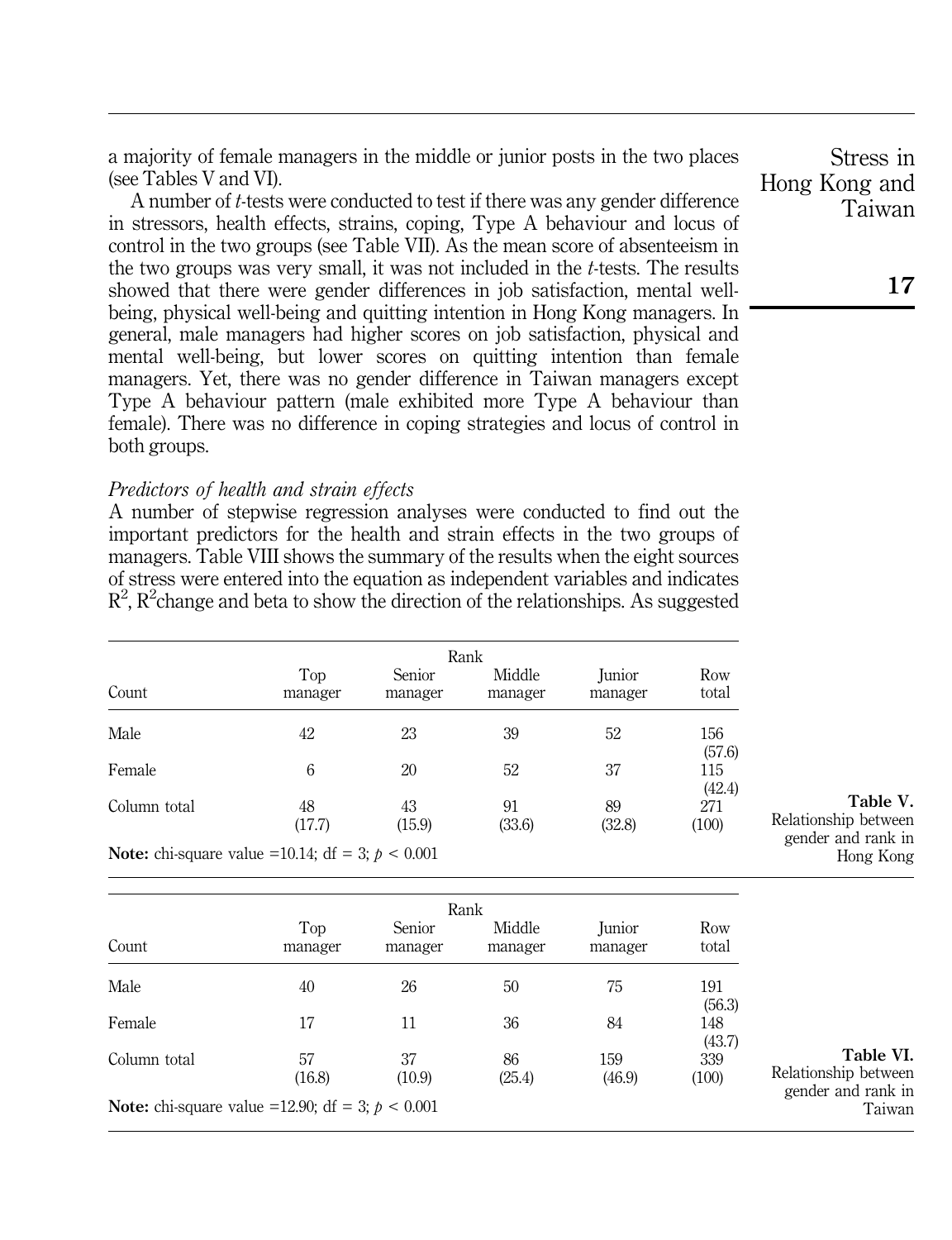a majority of female managers in the middle or junior posts in the two places (see Tables V and VI).

A number of t-tests were conducted to test if there was any gender difference in stressors, health effects, strains, coping, Type A behaviour and locus of control in the two groups (see Table VII). As the mean score of absenteeism in the two groups was very small, it was not included in the t-tests. The results showed that there were gender differences in job satisfaction, mental wellbeing, physical well-being and quitting intention in Hong Kong managers. In general, male managers had higher scores on job satisfaction, physical and mental well-being, but lower scores on quitting intention than female managers. Yet, there was no gender difference in Taiwan managers except Type A behaviour pattern (male exhibited more Type A behaviour than female). There was no difference in coping strategies and locus of control in both groups.

#### Predictors of health and strain effects

A number of stepwise regression analyses were conducted to find out the important predictors for the health and strain effects in the two groups of managers. Table VIII shows the summary of the results when the eight sources of stress were entered into the equation as independent variables and indicates  $\mathbb{R}^2$ ,  $\mathbb{R}^2$ change and beta to show the direction of the relationships. As suggested

| Count                                                                                                                                                                                                                                                                                                         | Top<br>manager | Senior<br>manager | Middle<br>manager | <b>Junior</b><br>manager | Row<br>total  |
|---------------------------------------------------------------------------------------------------------------------------------------------------------------------------------------------------------------------------------------------------------------------------------------------------------------|----------------|-------------------|-------------------|--------------------------|---------------|
| Male                                                                                                                                                                                                                                                                                                          | 42             | 23                | 39                | 52                       | 156<br>(57.6) |
| Female                                                                                                                                                                                                                                                                                                        | 6              | 20                | 52                | 37                       | 115<br>(42.4) |
| Column total                                                                                                                                                                                                                                                                                                  | 48<br>(17.7)   | 43<br>(15.9)      | 91<br>(33.6)      | 89<br>(32.8)             | 271<br>(100)  |
| $M_{\text{min}}$ , 1, $\frac{1}{2}$ , $\frac{1}{2}$ , $\frac{1}{2}$ , $\frac{1}{2}$ , $\frac{1}{2}$ , $\frac{1}{2}$ , $\frac{1}{2}$ , $\frac{1}{2}$ , $\frac{1}{2}$ , $\frac{1}{2}$ , $\frac{1}{2}$ , $\frac{1}{2}$ , $\frac{1}{2}$ , $\frac{1}{2}$ , $\frac{1}{2}$ , $\frac{1}{2}$ , $\frac{1}{2}$ , $\frac$ |                |                   |                   |                          |               |

Note: chi-square value =10.14; dt = 3;  $p < 0.001$ 

|                                                            |                |                   | Rank              |                          |               |                                   |
|------------------------------------------------------------|----------------|-------------------|-------------------|--------------------------|---------------|-----------------------------------|
| Count                                                      | Top<br>manager | Senior<br>manager | Middle<br>manager | <b>Iunior</b><br>manager | Row<br>total  |                                   |
| Male                                                       | 40             | 26                | 50                | 75                       | 191<br>(56.3) |                                   |
| Female                                                     | 17             | 11                | 36                | 84                       | 148<br>(43.7) |                                   |
| Column total                                               | 57<br>(16.8)   | 37<br>(10.9)      | 86<br>(25.4)      | 159<br>(46.9)            | 339<br>(100)  | Table VI.<br>Relationship between |
| <b>Note:</b> chi-square value = 12.90; df = 3; $p < 0.001$ |                |                   |                   |                          |               | gender and rank in<br>Taiwan      |

Stress in Hong Kong and Taiwan

17

Table V.

Relationship between gender and rank in Hong Kong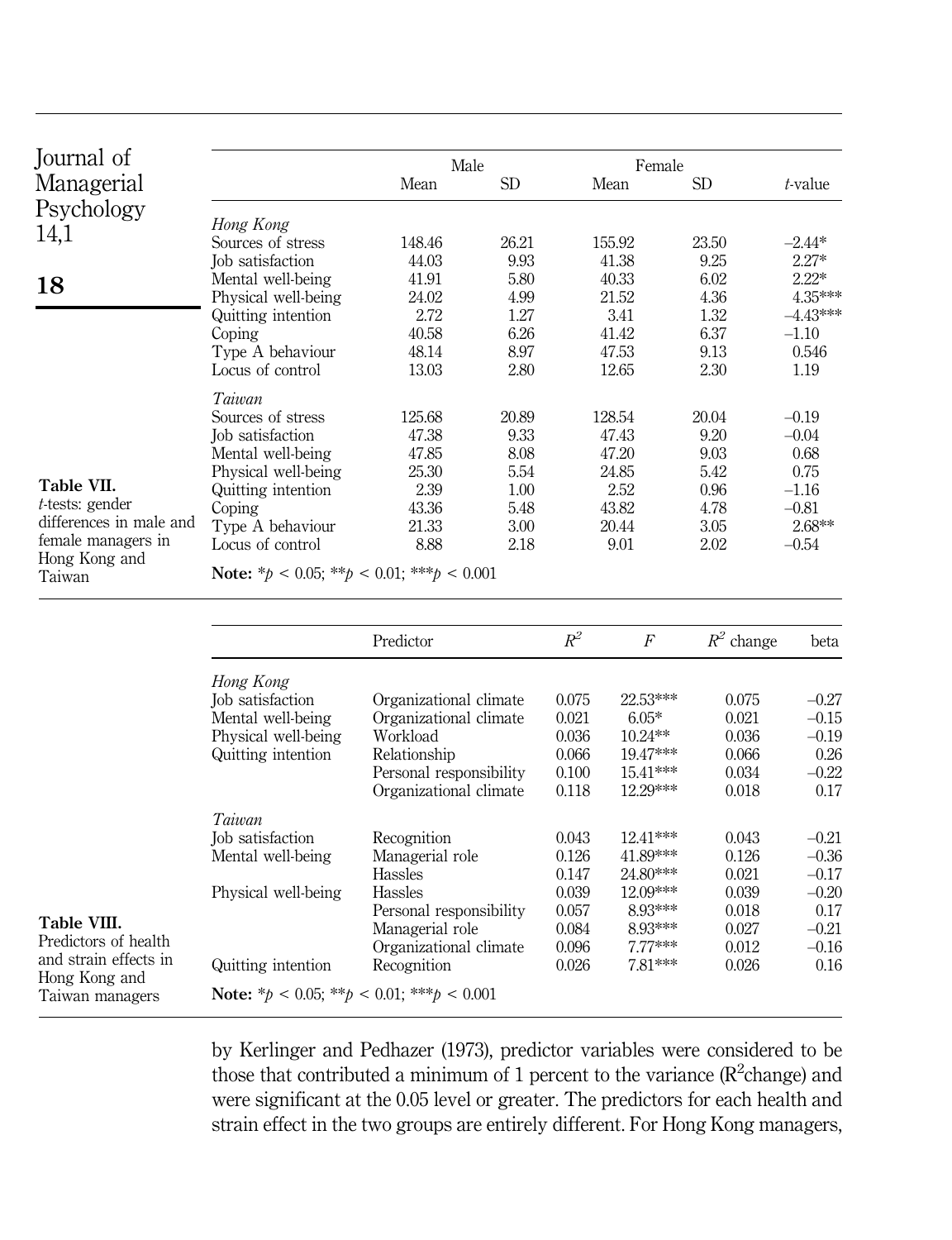| Journal of              |                                                      | Male                       |              |                | Female               |                |                    |
|-------------------------|------------------------------------------------------|----------------------------|--------------|----------------|----------------------|----------------|--------------------|
| Managerial              |                                                      | Mean                       | SD           |                | Mean                 | <b>SD</b>      | t-value            |
| Psychology<br>14,1      | Hong Kong                                            |                            |              |                |                      |                |                    |
|                         | Sources of stress                                    | 148.46                     | 26.21        |                | 155.92               | 23.50          | $-2.44*$           |
|                         | Job satisfaction<br>Mental well-being                | 44.03<br>41.91             | 9.93<br>5.80 |                | 41.38<br>40.33       | 9.25<br>6.02   | $2.27*$<br>$2.22*$ |
| 18                      | Physical well-being                                  | 24.02                      | 4.99         |                | 21.52                | 4.36           | 4.35***            |
|                         | Quitting intention                                   | 2.72                       | 1.27         |                | 3.41                 | 1.32           | $-4.43***$         |
|                         | Coping                                               | 40.58                      | 6.26         |                | 41.42                | 6.37           | $-1.10$            |
|                         | Type A behaviour                                     | 48.14                      | 8.97         |                | 47.53                | 9.13           | 0.546              |
|                         | Locus of control                                     | 13.03                      | 2.80         |                | 12.65                | 2.30           | 1.19               |
|                         | Taiwan                                               |                            |              |                |                      |                |                    |
|                         | Sources of stress                                    | 125.68                     | 20.89        |                | 128.54               | 20.04          | $-0.19$            |
|                         | Job satisfaction                                     | 47.38                      | 9.33         |                | 47.43                | 9.20           | $-0.04$            |
|                         | Mental well-being                                    | 47.85<br>25.30             | 8.08<br>5.54 |                | 47.20<br>24.85       | 9.03<br>5.42   | 0.68<br>0.75       |
| Table VII.              | Physical well-being<br>Quitting intention            | 2.39                       | 1.00         |                | 2.52                 | 0.96           | $-1.16$            |
| $t$ -tests: gender      | Coping                                               | 43.36                      | 5.48         |                | 43.82                | 4.78           | $-0.81$            |
| differences in male and | Type A behaviour                                     | 21.33                      | 3.00         |                | 20.44                | 3.05           | 2.68**             |
| female managers in      | Locus of control                                     | 8.88                       | 2.18         |                | 9.01                 | 2.02           | $-0.54$            |
| Hong Kong and<br>Taiwan | Note: * $p < 0.05$ ; ** $p < 0.01$ ; *** $p < 0.001$ |                            |              |                |                      |                |                    |
|                         |                                                      | Predictor                  |              | $R^2$          | $\overline{F}$       | $R^2$ change   | beta               |
|                         |                                                      |                            |              |                |                      |                |                    |
|                         | Hong Kong<br>Job satisfaction                        | Organizational climate     |              | 0.075          | 22.53***             | 0.075          | $-0.27$            |
|                         | Mental well-being                                    | Organizational climate     |              | 0.021          | $6.05*$              | 0.021          | $-0.15$            |
|                         | Physical well-being                                  | Workload                   |              | 0.036          | $10.24**$            | 0.036          | $-0.19$            |
|                         | Quitting intention                                   | Relationship               |              | 0.066          | 19.47***             | 0.066          | 0.26               |
|                         |                                                      | Personal responsibility    |              | 0.100          | 15.41***             | 0.034          | $-0.22$            |
|                         |                                                      | Organizational climate     |              | 0.118          | 12.29***             | 0.018          | 0.17               |
|                         | Taiwan                                               |                            |              |                |                      |                |                    |
|                         | Job satisfaction                                     | Recognition                |              | 0.043          | $12.41***$           | 0.043          | $-0.21$            |
|                         | Mental well-being                                    | Managerial role<br>Hassles |              | 0.126<br>0.147 | 41.89***<br>24.80*** | 0.126<br>0.021 | $-0.36$<br>$-0.17$ |
|                         | Physical well-being                                  | Hassles                    |              | 0.039          | 12.09***             | 0.039          | $-0.20$            |
|                         |                                                      | Personal responsibility    |              | 0.057          | 8.93***              | 0.018          | 0.17               |

Table VIII.

Predictors of health and strain effects in Hong Kong and Taiwan managers

Quitting intention

Note:  $* p < 0.05$ ;  $** p < 0.01$ ;  $*** p < 0.001$ 

by Kerlinger and Pedhazer (1973), predictor variables were considered to be those that contributed a minimum of 1 percent to the variance  $(R^2$ change) and were significant at the 0.05 level or greater. The predictors for each health and strain effect in the two groups are entirely different. For Hong Kong managers,

Personal responsibility  $0.057$   $0.93***$   $0.018$  0.17<br>Managerial role  $0.084$   $0.93***$   $0.027$   $-0.21$ Managerial role  $0.084$   $0.93***$   $0.027$   $-0.21$ <br>Organizational climate  $0.096$   $7.77***$   $0.012$   $-0.16$ Organizational climate  $0.096$   $7.77***$   $0.012$   $-0.16$ <br>Recognition  $0.026$   $7.81***$   $0.026$  0.16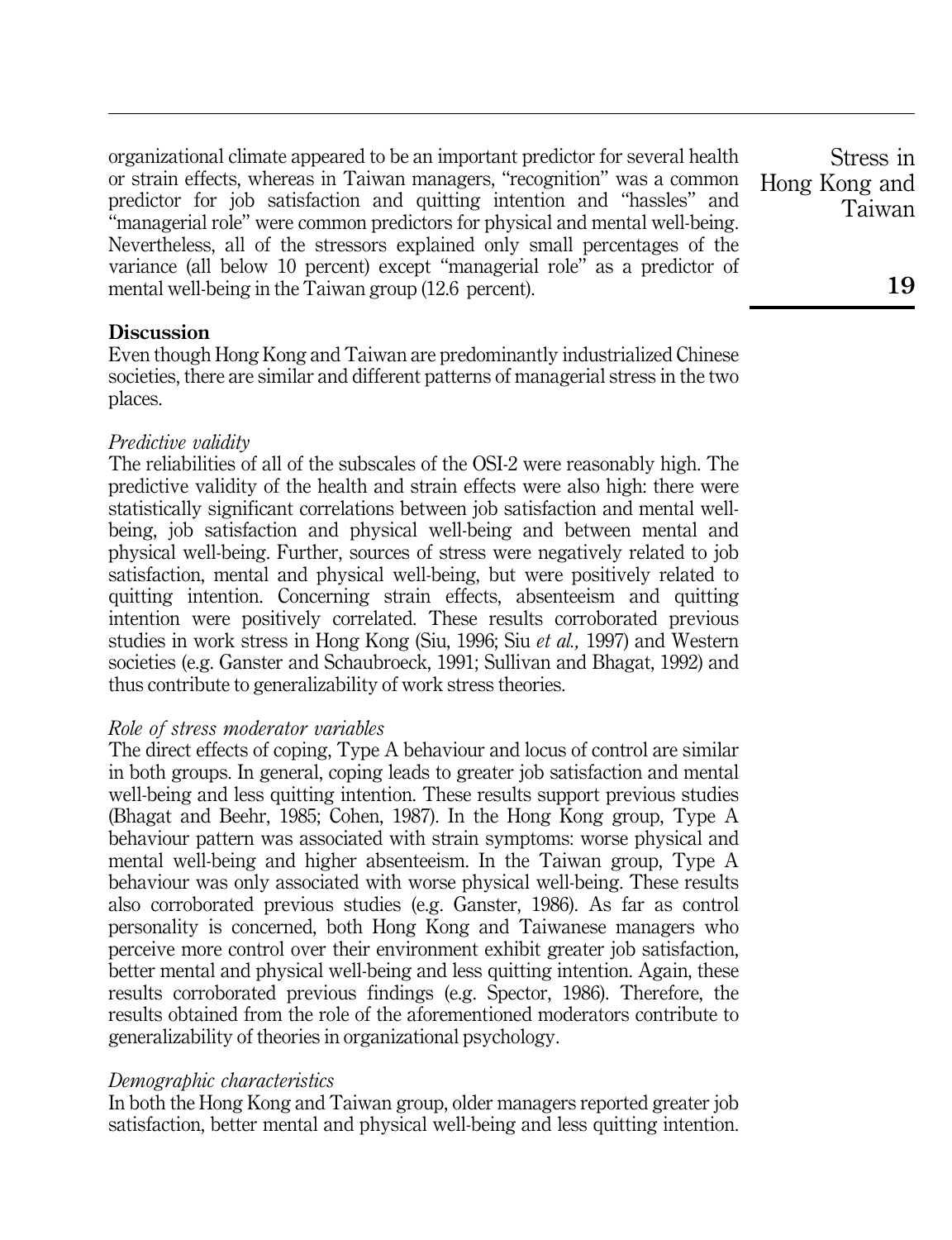organizational climate appeared to be an important predictor for several health or strain effects, whereas in Taiwan managers, "recognition" was a common predictor for job satisfaction and quitting intention and ``hassles'' and ``managerial role'' were common predictors for physical and mental well-being. Nevertheless, all of the stressors explained only small percentages of the variance (all below 10 percent) except "managerial role" as a predictor of mental well-being in the Taiwan group (12.6 percent).

# **Discussion**

Even though Hong Kong and Taiwan are predominantly industrialized Chinese societies, there are similar and different patterns of managerial stress in the two places.

# Predictive validity

The reliabilities of all of the subscales of the OSI-2 were reasonably high. The predictive validity of the health and strain effects were also high: there were statistically significant correlations between job satisfaction and mental wellbeing, job satisfaction and physical well-being and between mental and physical well-being. Further, sources of stress were negatively related to job satisfaction, mental and physical well-being, but were positively related to quitting intention. Concerning strain effects, absenteeism and quitting intention were positively correlated. These results corroborated previous studies in work stress in Hong Kong (Siu, 1996; Siu et al., 1997) and Western societies (e.g. Ganster and Schaubroeck, 1991; Sullivan and Bhagat, 1992) and thus contribute to generalizability of work stress theories.

# Role of stress moderator variables

The direct effects of coping, Type A behaviour and locus of control are similar in both groups. In general, coping leads to greater job satisfaction and mental well-being and less quitting intention. These results support previous studies (Bhagat and Beehr, 1985; Cohen, 1987). In the Hong Kong group, Type A behaviour pattern was associated with strain symptoms: worse physical and mental well-being and higher absenteeism. In the Taiwan group, Type A behaviour was only associated with worse physical well-being. These results also corroborated previous studies (e.g. Ganster, 1986). As far as control personality is concerned, both Hong Kong and Taiwanese managers who perceive more control over their environment exhibit greater job satisfaction, better mental and physical well-being and less quitting intention. Again, these results corroborated previous findings (e.g. Spector, 1986). Therefore, the results obtained from the role of the aforementioned moderators contribute to generalizability of theories in organizational psychology.

# Demographic characteristics

In both the Hong Kong and Taiwan group, older managers reported greater job satisfaction, better mental and physical well-being and less quitting intention.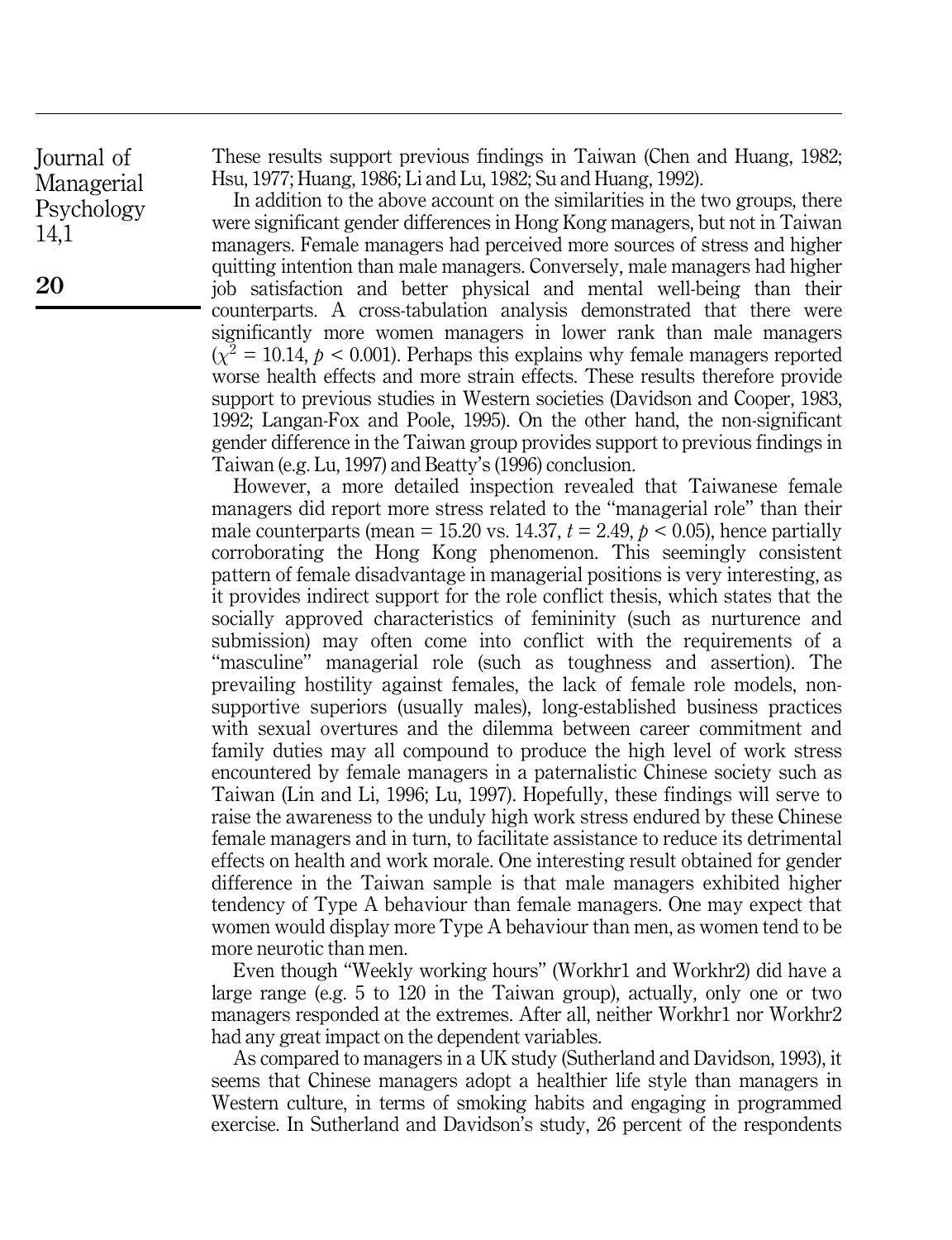These results support previous findings in Taiwan (Chen and Huang, 1982; Hsu, 1977; Huang, 1986; Li and Lu, 1982; Su and Huang, 1992).

In addition to the above account on the similarities in the two groups, there were significant gender differences in Hong Kong managers, but not in Taiwan managers. Female managers had perceived more sources of stress and higher quitting intention than male managers. Conversely, male managers had higher job satisfaction and better physical and mental well-being than their counterparts. A cross-tabulation analysis demonstrated that there were significantly more women managers in lower rank than male managers  $(\chi^2 = 10.14, p < 0.001)$ . Perhaps this explains why female managers reported worse health effects and more strain effects. These results therefore provide support to previous studies in Western societies (Davidson and Cooper, 1983, 1992; Langan-Fox and Poole, 1995). On the other hand, the non-significant gender difference in the Taiwan group provides support to previous findings in Taiwan (e.g. Lu, 1997) and Beatty's (1996) conclusion.

However, a more detailed inspection revealed that Taiwanese female managers did report more stress related to the "managerial role" than their male counterparts (mean = 15.20 vs. 14.37,  $t = 2.49$ ,  $p < 0.05$ ), hence partially corroborating the Hong Kong phenomenon. This seemingly consistent pattern of female disadvantage in managerial positions is very interesting, as it provides indirect support for the role conflict thesis, which states that the socially approved characteristics of femininity (such as nurturence and submission) may often come into conflict with the requirements of a ``masculine'' managerial role (such as toughness and assertion). The prevailing hostility against females, the lack of female role models, nonsupportive superiors (usually males), long-established business practices with sexual overtures and the dilemma between career commitment and family duties may all compound to produce the high level of work stress encountered by female managers in a paternalistic Chinese society such as Taiwan (Lin and Li, 1996; Lu, 1997). Hopefully, these findings will serve to raise the awareness to the unduly high work stress endured by these Chinese female managers and in turn, to facilitate assistance to reduce its detrimental effects on health and work morale. One interesting result obtained for gender difference in the Taiwan sample is that male managers exhibited higher tendency of Type A behaviour than female managers. One may expect that women would display more Type A behaviour than men, as women tend to be more neurotic than men.

Even though "Weekly working hours" (Workhr1 and Workhr2) did have a large range (e.g. 5 to 120 in the Taiwan group), actually, only one or two managers responded at the extremes. After all, neither Workhr1 nor Workhr2 had any great impact on the dependent variables.

As compared to managers in a UK study (Sutherland and Davidson, 1993), it seems that Chinese managers adopt a healthier life style than managers in Western culture, in terms of smoking habits and engaging in programmed exercise. In Sutherland and Davidson's study, 26 percent of the respondents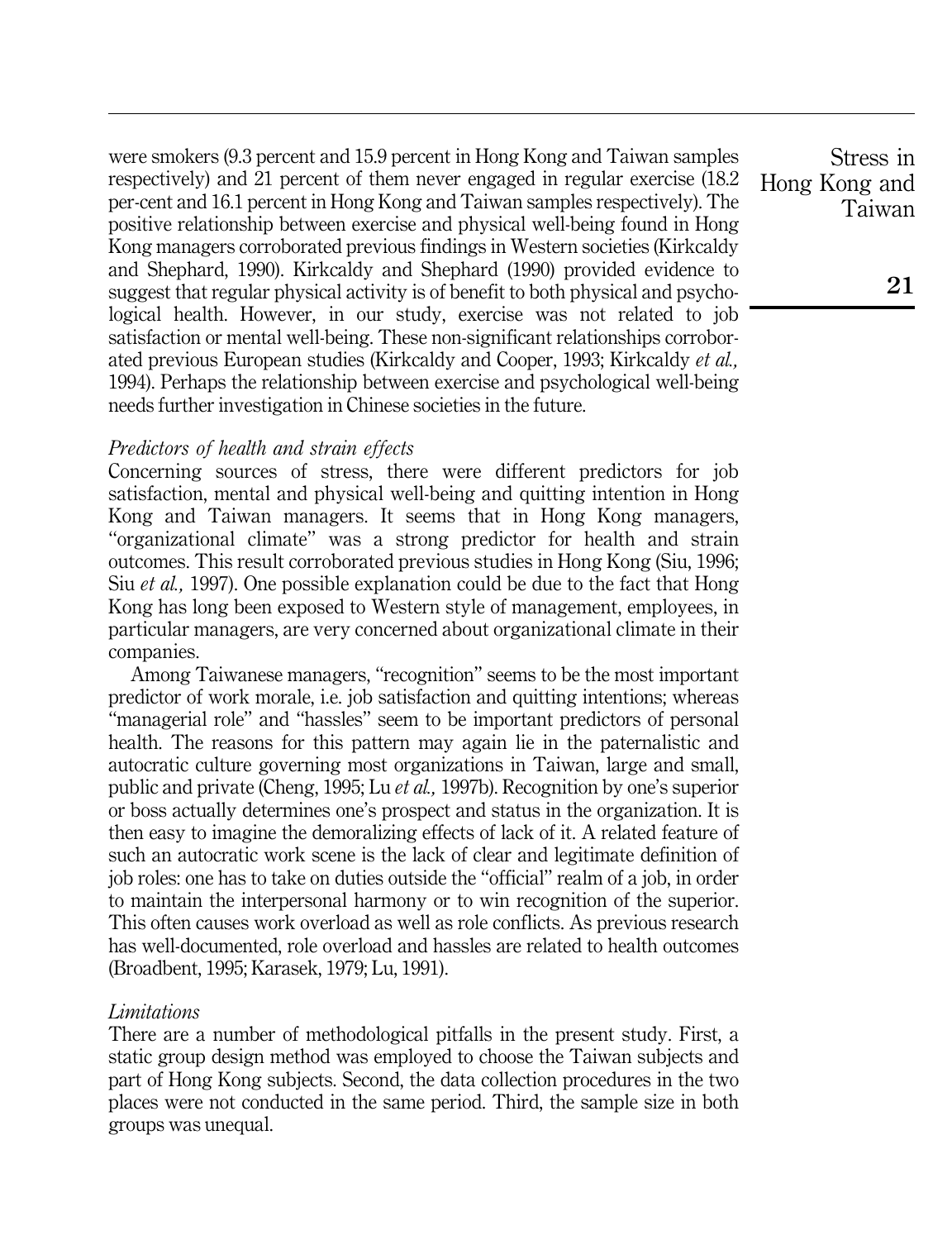were smokers (9.3 percent and 15.9 percent in Hong Kong and Taiwan samples respectively) and 21 percent of them never engaged in regular exercise (18.2 per-cent and 16.1 percent in Hong Kong and Taiwan samples respectively). The positive relationship between exercise and physical well-being found in Hong Kong managers corroborated previous findings in Western societies (Kirkcaldy and Shephard, 1990). Kirkcaldy and Shephard (1990) provided evidence to suggest that regular physical activity is of benefit to both physical and psychological health. However, in our study, exercise was not related to job satisfaction or mental well-being. These non-significant relationships corroborated previous European studies (Kirkcaldy and Cooper, 1993; Kirkcaldy et al., 1994). Perhaps the relationship between exercise and psychological well-being needs further investigation in Chinese societies in the future.

# Predictors of health and strain effects

Concerning sources of stress, there were different predictors for job satisfaction, mental and physical well-being and quitting intention in Hong Kong and Taiwan managers. It seems that in Hong Kong managers, ``organizational climate'' was a strong predictor for health and strain outcomes. This result corroborated previous studies in Hong Kong (Siu, 1996; Siu et al., 1997). One possible explanation could be due to the fact that Hong Kong has long been exposed to Western style of management, employees, in particular managers, are very concerned about organizational climate in their companies.

Among Taiwanese managers, "recognition" seems to be the most important predictor of work morale, i.e. job satisfaction and quitting intentions; whereas ``managerial role'' and ``hassles'' seem to be important predictors of personal health. The reasons for this pattern may again lie in the paternalistic and autocratic culture governing most organizations in Taiwan, large and small, public and private (Cheng, 1995; Lu et al., 1997b). Recognition by one's superior or boss actually determines one's prospect and status in the organization. It is then easy to imagine the demoralizing effects of lack of it. A related feature of such an autocratic work scene is the lack of clear and legitimate definition of job roles: one has to take on duties outside the ``official'' realm of a job, in order to maintain the interpersonal harmony or to win recognition of the superior. This often causes work overload as well as role conflicts. As previous research has well-documented, role overload and hassles are related to health outcomes (Broadbent, 1995; Karasek, 1979; Lu, 1991).

# Limitations

There are a number of methodological pitfalls in the present study. First, a static group design method was employed to choose the Taiwan subjects and part of Hong Kong subjects. Second, the data collection procedures in the two places were not conducted in the same period. Third, the sample size in both groups was unequal.

Stress in Hong Kong and Taiwan

21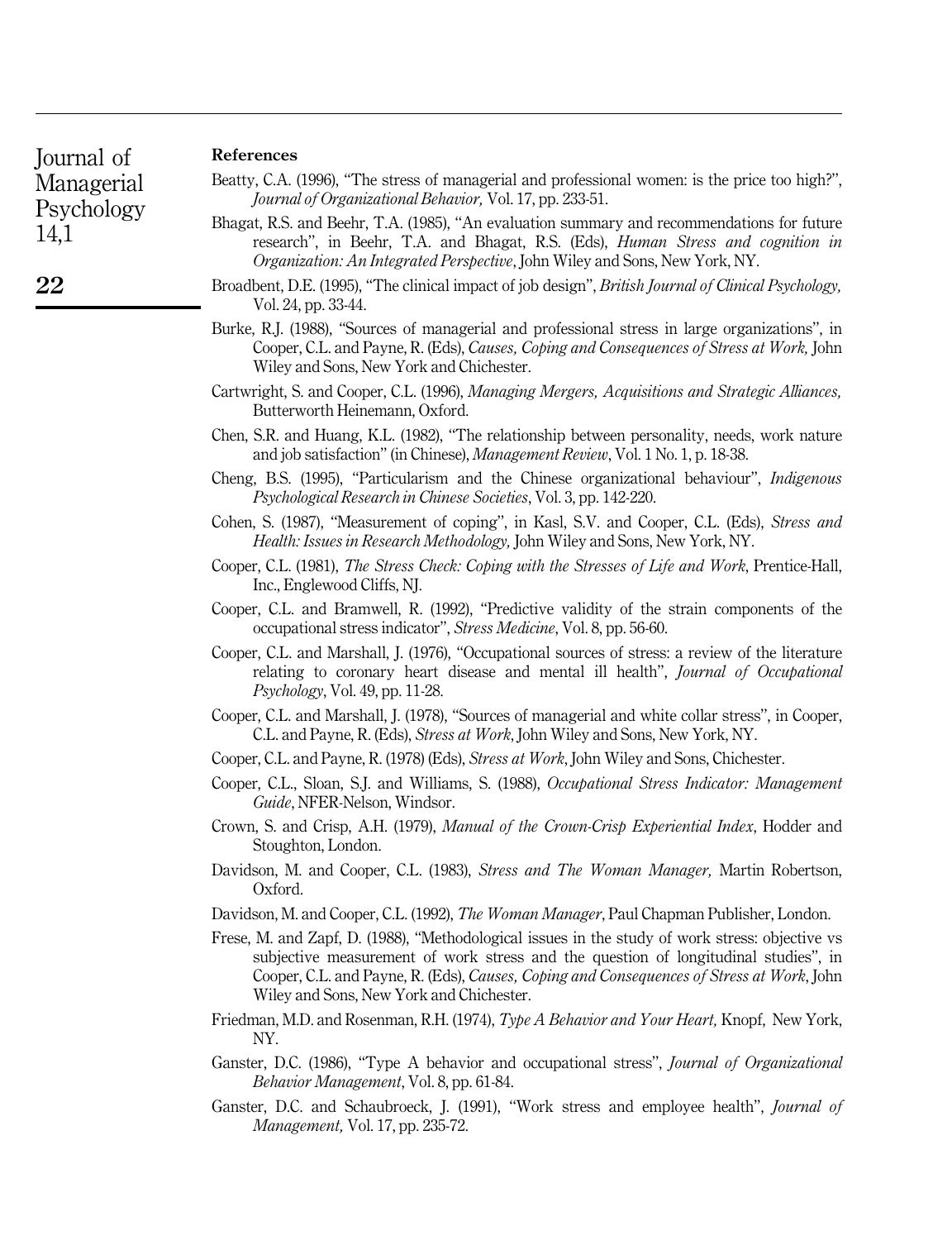| Journal of |  |
|------------|--|
| Managerial |  |
| Psychology |  |
| 14,1       |  |

22

#### References

| Beatty, C.A. (1996), "The stress of managerial and professional women: is the price too high?", |  |                                                                 |  |  |
|-------------------------------------------------------------------------------------------------|--|-----------------------------------------------------------------|--|--|
|                                                                                                 |  | <i>Journal of Organizational Behavior, Vol. 17, pp. 233-51.</i> |  |  |

- Bhagat, R.S. and Beehr, T.A. (1985), "An evaluation summary and recommendations for future research'', in Beehr, T.A. and Bhagat, R.S. (Eds), Human Stress and cognition in Organization: An Integrated Perspective, John Wiley and Sons, New York, NY.
- Broadbent, D.E. (1995), "The clinical impact of job design", *British Journal of Clinical Psychology*, Vol. 24, pp. 33-44.
- Burke, R.J. (1988), "Sources of managerial and professional stress in large organizations", in Cooper, C.L. and Payne, R. (Eds), Causes, Coping and Consequences of Stress at Work, John Wiley and Sons, New York and Chichester.
- Cartwright, S. and Cooper, C.L. (1996), Managing Mergers, Acquisitions and Strategic Alliances, Butterworth Heinemann, Oxford.
- Chen, S.R. and Huang, K.L. (1982), "The relationship between personality, needs, work nature and job satisfaction'' (in Chinese), Management Review, Vol. 1 No. 1, p. 18-38.
- Cheng, B.S. (1995), "Particularism and the Chinese organizational behaviour", *Indigenous* Psychological Research in Chinese Societies, Vol. 3, pp. 142-220.
- Cohen, S. (1987), "Measurement of coping", in Kasl, S.V. and Cooper, C.L. (Eds), Stress and Health: Issues in Research Methodology, John Wiley and Sons, New York, NY.
- Cooper, C.L. (1981), The Stress Check: Coping with the Stresses of Life and Work, Prentice-Hall, Inc., Englewood Cliffs, NJ.
- Cooper, C.L. and Bramwell, R. (1992), "Predictive validity of the strain components of the occupational stress indicator'', Stress Medicine, Vol. 8, pp. 56-60.
- Cooper, C.L. and Marshall, J. (1976), "Occupational sources of stress: a review of the literature relating to coronary heart disease and mental ill health'', Journal of Occupational Psychology, Vol. 49, pp. 11-28.
- Cooper, C.L. and Marshall, J. (1978), ``Sources of managerial and white collar stress'', in Cooper, C.L. and Payne, R. (Eds), Stress at Work, John Wiley and Sons, New York, NY.
- Cooper, C.L. and Payne, R. (1978) (Eds), Stress at Work, John Wiley and Sons, Chichester.
- Cooper, C.L., Sloan, S.J. and Williams, S. (1988), Occupational Stress Indicator: Management Guide, NFER-Nelson, Windsor.
- Crown, S. and Crisp, A.H. (1979), Manual of the Crown-Crisp Experiential Index, Hodder and Stoughton, London.
- Davidson, M. and Cooper, C.L. (1983), Stress and The Woman Manager, Martin Robertson, Oxford.
- Davidson, M. and Cooper, C.L. (1992), The Woman Manager, Paul Chapman Publisher, London.
- Frese, M. and Zapf, D. (1988), "Methodological issues in the study of work stress: objective vs subjective measurement of work stress and the question of longitudinal studies'', in Cooper, C.L. and Payne, R. (Eds), Causes, Coping and Consequences of Stress at Work, John Wiley and Sons, New York and Chichester.
- Friedman, M.D. and Rosenman, R.H. (1974), Type A Behavior and Your Heart, Knopf, New York, NY.
- Ganster, D.C. (1986), "Type A behavior and occupational stress", *Journal of Organizational* Behavior Management, Vol. 8, pp. 61-84.
- Ganster, D.C. and Schaubroeck, J. (1991), "Work stress and employee health", Journal of Management, Vol. 17, pp. 235-72.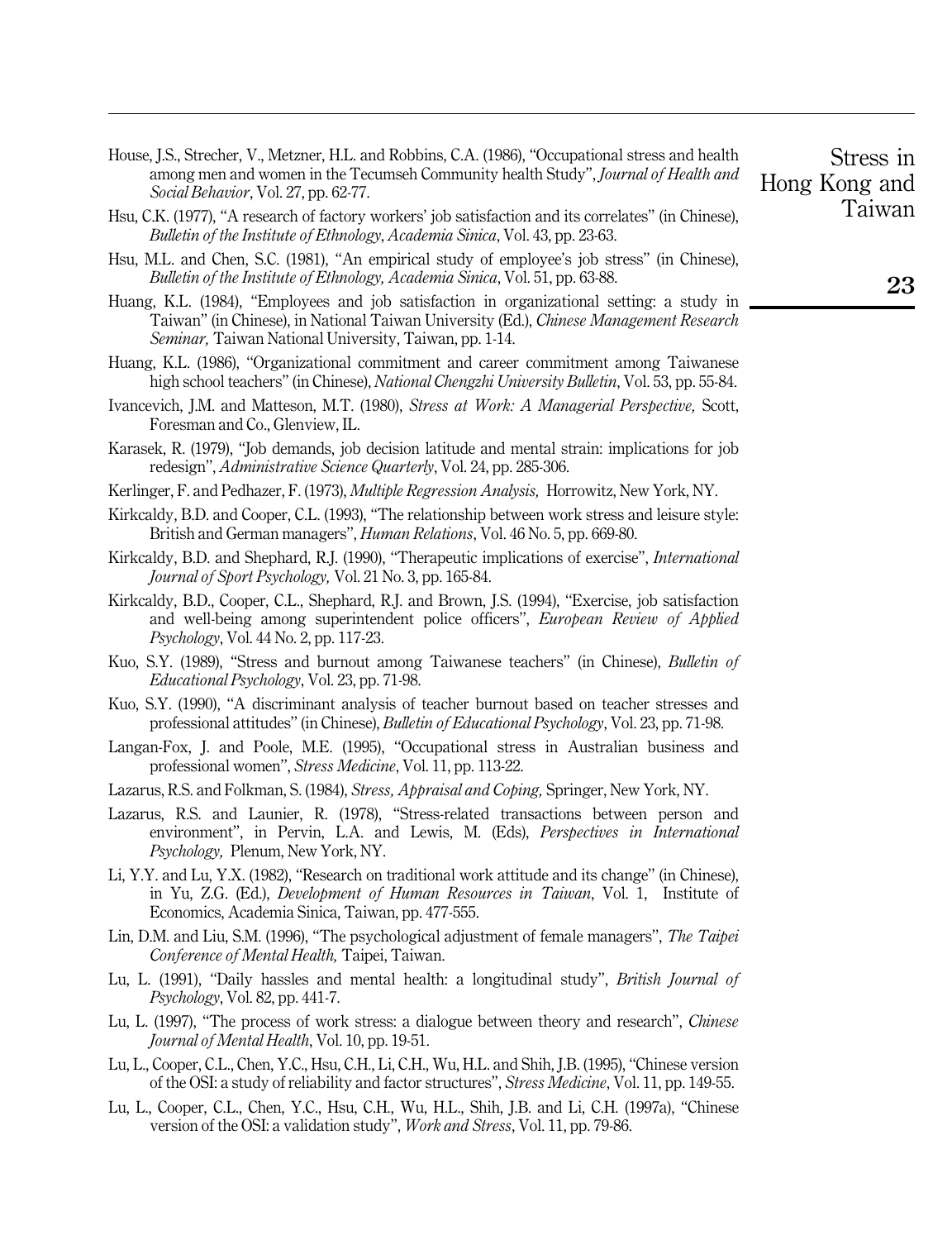| House, J.S., Strecher, V., Metzner, H.L. and Robbins, C.A. (1986), "Occupational stress and health |
|----------------------------------------------------------------------------------------------------|
| among men and women in the Tecumseh Community health Study", <i>Journal of Health and</i>          |
| Social Behavior, Vol. 27, pp. 62-77.                                                               |

- Hsu, C.K. (1977), "A research of factory workers' job satisfaction and its correlates" (in Chinese), Bulletin of the Institute of Ethnology, Academia Sinica, Vol. 43, pp. 23-63.
- Hsu, M.L. and Chen, S.C. (1981), "An empirical study of employee's job stress" (in Chinese), Bulletin of the Institute of Ethnology, Academia Sinica, Vol. 51, pp. 63-88.
- Huang, K.L. (1984), "Employees and job satisfaction in organizational setting: a study in Taiwan" (in Chinese), in National Taiwan University (Ed.), Chinese Management Research Seminar, Taiwan National University, Taiwan, pp. 1-14.
- Huang, K.L. (1986), "Organizational commitment and career commitment among Taiwanese high school teachers'' (in Chinese), *National Chengzhi University Bulletin*, Vol. 53, pp. 55-84.
- Ivancevich, J.M. and Matteson, M.T. (1980), Stress at Work: A Managerial Perspective, Scott, Foresman and Co., Glenview, IL.
- Karasek, R. (1979), "Job demands, job decision latitude and mental strain: implications for job redesign'', Administrative Science Quarterly, Vol. 24, pp. 285-306.
- Kerlinger, F. and Pedhazer, F. (1973), Multiple Regression Analysis, Horrowitz, New York, NY.
- Kirkcaldy, B.D. and Cooper, C.L. (1993), "The relationship between work stress and leisure style: British and German managers'', Human Relations, Vol. 46 No. 5, pp. 669-80.
- Kirkcaldy, B.D. and Shephard, R.J. (1990), "Therapeutic implications of exercise", *International* Journal of Sport Psychology, Vol. 21 No. 3, pp. 165-84.
- Kirkcaldy, B.D., Cooper, C.L., Shephard, R.J. and Brown, J.S. (1994), "Exercise, job satisfaction and well-being among superintendent police officers'', European Review of Applied Psychology, Vol. 44 No. 2, pp. 117-23.
- Kuo, S.Y. (1989), "Stress and burnout among Taiwanese teachers" (in Chinese), *Bulletin of* Educational Psychology, Vol. 23, pp. 71-98.
- Kuo, S.Y. (1990), "A discriminant analysis of teacher burnout based on teacher stresses and professional attitudes'' (in Chinese), Bulletin of Educational Psychology, Vol. 23, pp. 71-98.
- Langan-Fox, J. and Poole, M.E. (1995), "Occupational stress in Australian business and professional women'', Stress Medicine, Vol. 11, pp. 113-22.
- Lazarus, R.S. and Folkman, S. (1984), Stress, Appraisal and Coping, Springer, New York, NY.
- Lazarus, R.S. and Launier, R. (1978), "Stress-related transactions between person and environment", in Pervin, L.A. and Lewis, M. (Eds), Perspectives in International Psychology, Plenum, New York, NY.
- Li, Y.Y. and Lu, Y.X. (1982), "Research on traditional work attitude and its change" (in Chinese), in Yu, Z.G. (Ed.), Development of Human Resources in Taiwan, Vol. 1, Institute of Economics, Academia Sinica, Taiwan, pp. 477-555.
- Lin, D.M. and Liu, S.M. (1996), "The psychological adjustment of female managers", The Taipei Conference of Mental Health, Taipei, Taiwan.
- Lu, L. (1991), "Daily hassles and mental health: a longitudinal study", *British Journal of* Psychology, Vol. 82, pp. 441-7.
- Lu, L. (1997), "The process of work stress: a dialogue between theory and research", *Chinese* Journal of Mental Health, Vol. 10, pp. 19-51.
- Lu, L., Cooper, C.L., Chen, Y.C., Hsu, C.H., Li, C.H., Wu, H.L. and Shih, J.B. (1995), "Chinese version of the OSI: a study of reliability and factor structures'', Stress Medicine, Vol. 11, pp. 149-55.
- Lu, L., Cooper, C.L., Chen, Y.C., Hsu, C.H., Wu, H.L., Shih, J.B. and Li, C.H. (1997a), "Chinese version of the OSI: a validation study'', Work and Stress, Vol. 11, pp. 79-86.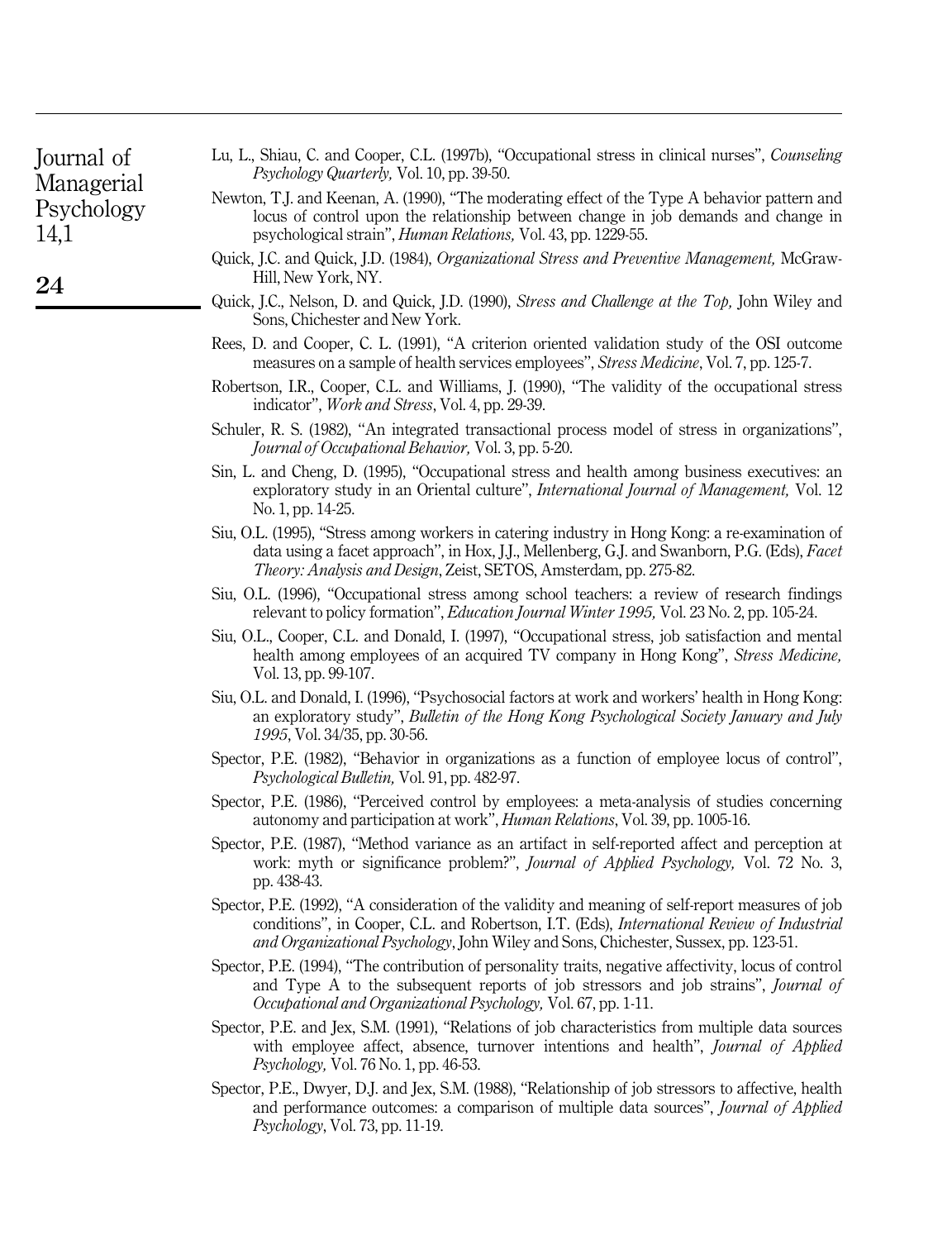| Iournal of |
|------------|
| Managerial |
| Psychology |
| 14,1       |

24

- Lu, L., Shiau, C. and Cooper, C.L. (1997b), "Occupational stress in clinical nurses", Counseling Psychology Quarterly, Vol. 10, pp. 39-50.
- Newton, T.J. and Keenan, A. (1990), "The moderating effect of the Type A behavior pattern and locus of control upon the relationship between change in job demands and change in psychological strain'', Human Relations, Vol. 43, pp. 1229-55.
- Quick, J.C. and Quick, J.D. (1984), Organizational Stress and Preventive Management, McGraw-Hill, New York, NY.
- Quick, J.C., Nelson, D. and Quick, J.D. (1990), Stress and Challenge at the Top, John Wiley and Sons, Chichester and New York.
- Rees, D. and Cooper, C. L. (1991), "A criterion oriented validation study of the OSI outcome measures on a sample of health services employees'', Stress Medicine, Vol. 7, pp. 125-7.
- Robertson, I.R., Cooper, C.L. and Williams, J. (1990), "The validity of the occupational stress indicator'', Work and Stress, Vol. 4, pp. 29-39.
- Schuler, R. S. (1982), "An integrated transactional process model of stress in organizations", Journal of Occupational Behavior, Vol. 3, pp. 5-20.
- Sin, L. and Cheng, D. (1995), "Occupational stress and health among business executives: an exploratory study in an Oriental culture", *International Journal of Management*, Vol. 12 No. 1, pp. 14-25.
- Siu, O.L. (1995), "Stress among workers in catering industry in Hong Kong: a re-examination of data using a facet approach'', in Hox, J.J., Mellenberg, G.J. and Swanborn, P.G. (Eds), Facet Theory: Analysis and Design, Zeist, SETOS, Amsterdam, pp. 275-82.
- Siu, O.L. (1996), ``Occupational stress among school teachers: a review of research findings relevant to policy formation'', Education Journal Winter 1995, Vol. 23 No. 2, pp. 105-24.
- Siu, O.L., Cooper, C.L. and Donald, I. (1997), "Occupational stress, job satisfaction and mental health among employees of an acquired TV company in Hong Kong'', Stress Medicine, Vol. 13, pp. 99-107.
- Siu, O.L. and Donald, I. (1996), ``Psychosocial factors at work and workers' health in Hong Kong: an exploratory study'', Bulletin of the Hong Kong Psychological Society January and July 1995, Vol. 34/35, pp. 30-56.
- Spector, P.E. (1982), "Behavior in organizations as a function of employee locus of control", Psychological Bulletin, Vol. 91, pp. 482-97.
- Spector, P.E. (1986), "Perceived control by employees: a meta-analysis of studies concerning autonomy and participation at work'', Human Relations, Vol. 39, pp. 1005-16.
- Spector, P.E. (1987), "Method variance as an artifact in self-reported affect and perception at work: myth or significance problem?", *Journal of Applied Psychology*, Vol. 72 No. 3, pp. 438-43.
- Spector, P.E. (1992), "A consideration of the validity and meaning of self-report measures of job conditions'', in Cooper, C.L. and Robertson, I.T. (Eds), International Review of Industrial and Organizational Psychology, John Wiley and Sons, Chichester, Sussex, pp. 123-51.
- Spector, P.E. (1994), "The contribution of personality traits, negative affectivity, locus of control and Type A to the subsequent reports of job stressors and job strains'', Journal of Occupational and Organizational Psychology, Vol. 67, pp. 1-11.
- Spector, P.E. and Jex, S.M. (1991), "Relations of job characteristics from multiple data sources with employee affect, absence, turnover intentions and health", *Journal of Applied* Psychology, Vol. 76 No. 1, pp. 46-53.
- Spector, P.E., Dwyer, D.J. and Jex, S.M. (1988), "Relationship of job stressors to affective, health and performance outcomes: a comparison of multiple data sources'', Journal of Applied Psychology, Vol. 73, pp. 11-19.